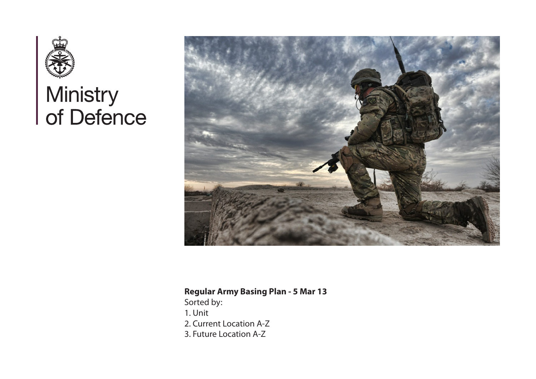

# Ministry<br>of Defence



# **Regular Army Basing Plan - 5 Mar 13**

Sorted by: 1. Unit 2. Current Location A-Z 3. Future Location A-Z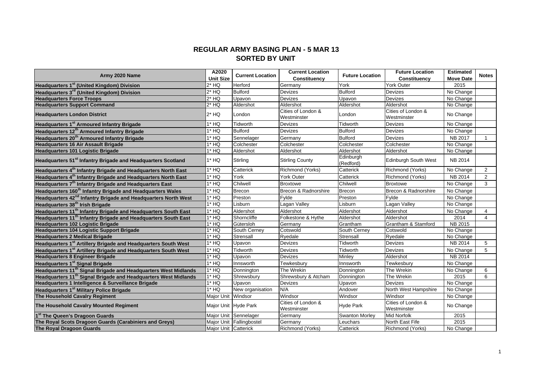#### **REGULAR ARMY BASING PLAN - 5 MAR 13 SORTED BY UNIT**

| Army 2020 Name                                                              | A2020                | <b>Current Location</b>  | <b>Current Location</b>           | <b>Future Location</b> | <b>Future Location</b>            | <b>Estimated</b> | <b>Notes</b>   |
|-----------------------------------------------------------------------------|----------------------|--------------------------|-----------------------------------|------------------------|-----------------------------------|------------------|----------------|
|                                                                             | <b>Unit Size</b>     |                          | Constituency                      |                        | Constituency                      | <b>Move Date</b> |                |
| Headquarters 1 <sup>st</sup> (United Kingdom) Division                      | 2* HQ                | Herford                  | Germany                           | York                   | York Outer                        | 2015             |                |
| Headquarters 3 <sup>rd</sup> (United Kingdom) Division                      | $2*$ HQ              | <b>Bulford</b>           | <b>Devizes</b>                    | <b>Bulford</b>         | <b>Devizes</b>                    | No Change        |                |
| <b>Headquarters Force Troops</b>                                            | $2*$ HQ              | Upavon                   | Devizes                           | Upavon                 | <b>Devizes</b>                    | No Change        |                |
| <b>Headquarters Support Command</b>                                         | $2*$ HQ              | Aldershot                | Aldershot                         | Aldershot              | Aldershot                         | No Change        |                |
| <b>Headquarters London District</b>                                         | $2*$ HQ              | London                   | Cities of London &<br>Westminster | London                 | Cities of London &<br>Westminster | No Change        |                |
| Headquarters 1 <sup>st</sup> Armoured Infantry Brigade                      | $1*$ HQ              | <b>Tidworth</b>          | <b>Devizes</b>                    | Tidworth               | Devizes                           | No Change        |                |
| Headquarters 12 <sup>th</sup> Armoured Infantry Brigade                     | 1* HQ                | <b>Bulford</b>           | <b>Devizes</b>                    | <b>Bulford</b>         | Devizes                           | No Change        |                |
| Headquarters 20 <sup>th</sup> Armoured Infantry Brigade                     | 1* HQ                | Sennelager               | Germany                           | <b>Bulford</b>         | <b>Devizes</b>                    | <b>NB 2017</b>   | $\overline{1}$ |
| <b>Headquarters 16 Air Assault Brigade</b>                                  | $1*$ HQ              | Colchester               | Colchester                        | Colchester             | Colchester                        | No Change        |                |
| Headquarters 101 Logistic Brigade                                           | $1*$ HQ              | Aldershot                | Aldershot                         | Aldershot              | Aldershot                         | No Change        |                |
| Headquarters 51 <sup>st</sup> Infantry Brigade and Headquarters Scotland    | 1* HQ                | Stirling                 | <b>Stirling County</b>            | Edinburgh<br>(Redford) | <b>Edinburgh South West</b>       | NB 2014          |                |
| Headquarters 4 <sup>th</sup> Infantry Brigade and Headquarters North East   | 1* HQ                | Catterick                | Richmond (Yorks)                  | Catterick              | Richmond (Yorks)                  | No Change        | 2              |
| Headquarters 4 <sup>th</sup> Infantry Brigade and Headquarters North East   | $1*$ HQ              | York                     | <b>York Outer</b>                 | Catterick              | Richmond (Yorks)                  | NB 2014          | 2              |
| Headquarters 7 <sup>th</sup> Infantry Brigade and Headquarters East         | $1*$ HQ              | Chilwell                 | Broxtowe                          | Chilwell               | <b>Broxtowe</b>                   | No Change        | 3              |
| Headquarters 160 <sup>th</sup> Infantry Brigade and Headquarters Wales      | 1* HQ                | <b>Brecon</b>            | Brecon & Radnorshire              | Brecon                 | Brecon & Radnorshire              | No Change        |                |
| Headquarters 42 <sup>nd</sup> Infantry Brigade and Headquarters North West  | $1*$ HQ              | Preston                  | Fylde                             | Preston                | Fvlde                             | No Change        |                |
| Headquarters 38 <sup>th</sup> Irish Brigade                                 | $1*$ HQ              | Lisburn                  | Lagan Valley                      | Lisburn                | Lagan Vallev                      | No Change        |                |
| Headquarters 11 <sup>th</sup> Infantry Brigade and Headquarters South East  | $1*$ HQ              | Aldershot                | Aldershot                         | Aldershot              | Aldershot                         | No Change        | $\overline{4}$ |
| Headquarters 11 <sup>th</sup> Infantry Brigade and Headquarters South East  | $1*$ HQ              | Shorncliffe              | Folkestone & Hythe                | Aldershot              | Aldershot                         | 2014             | 4              |
| <b>Headquarters 102 Logistic Brigade</b>                                    | $1*$ HQ              | Gütersloh                | Germany                           | Grantham               | Grantham & Stamford               | NB 2015          |                |
| Headquarters 104 Logistic Support Brigade                                   | 1* HQ                | South Cerney             | Cotswold                          | South Cerney           | Cotswold                          | No Change        |                |
| <b>Headquarters 2 Medical Brigade</b>                                       | $1*$ HQ              | Strensall                | Ryedale                           | Strensall              | Ryedale                           | No Change        |                |
| Headquarters 1 <sup>st</sup> Artillery Brigade and Headquarters South West  | $1*$ HQ              | Upavon                   | <b>Devizes</b>                    | Tidworth               | <b>Devizes</b>                    | NB 2014          | 5              |
| Headquarters 1 <sup>st</sup> Artillery Brigade and Headquarters South West  | $1*$ HQ              | <b>Tidworth</b>          | <b>Devizes</b>                    | <b>Tidworth</b>        | <b>Devizes</b>                    | No Change        | 5              |
| <b>Headquarters 8 Engineer Brigade</b>                                      | $1*$ HQ              | Upavon                   | <b>Devizes</b>                    | Minley                 | Aldershot                         | NB 2014          |                |
| Headquarters 1 <sup>st</sup> Signal Brigade                                 | $1*$ HQ              | Innsworth                | Tewkesbury                        | Innsworth              | Tewkesbury                        | No Change        |                |
| Headquarters 11 <sup>th</sup> Signal Brigade and Headquarters West Midlands | $1*$ HQ              | Donnington               | The Wrekin                        | Donnington             | The Wrekin                        | No Change        | 6              |
| Headquarters 11 <sup>th</sup> Signal Brigade and Headquarters West Midlands | $1*$ HQ              | Shrewsbury               | Shrewsbury & Atcham               | Donnington             | The Wrekin                        | 2015             | 6              |
| Headquarters 1 Intelligence & Surveillance Brigade                          | 1* HQ                | Upavon                   | Devizes                           | Upavon                 | <b>Devizes</b>                    | No Change        |                |
| Headquarters 1 <sup>st</sup> Military Police Brigade                        | 1* HQ                | New organisation         | N/A                               | Andover                | North West Hampshire              | No Change        |                |
| The Household Cavalry Regiment                                              | Major Unit Windsor   |                          | Windsor                           | Windsor                | Windsor                           | No Change        |                |
| The Household Cavalry Mounted Regiment                                      | Major Unit Hyde Park |                          | Cities of London &<br>Westminster | <b>Hyde Park</b>       | Cities of London &<br>Westminster | No Change        |                |
| 1 <sup>st</sup> The Queen's Dragoon Guards                                  |                      | Major Unit Sennelager    | Germany                           | Swanton Morley         | <b>Mid Norfolk</b>                | 2015             |                |
| The Royal Scots Dragoon Guards (Carabiniers and Greys)                      |                      | Major Unit Fallingbostel | Germany                           | Leuchars               | North East Fife                   | 2015             |                |
| The Royal Dragoon Guards                                                    | Major Unit Catterick |                          | Richmond (Yorks)                  | Catterick              | <b>Richmond (Yorks)</b>           | No Change        |                |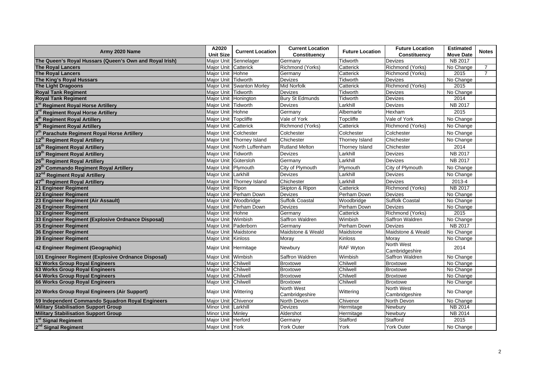|                                                         | A2020                  |                            | <b>Current Location</b>      | <b>Future Location</b> | <b>Estimated</b>             |                  |                |
|---------------------------------------------------------|------------------------|----------------------------|------------------------------|------------------------|------------------------------|------------------|----------------|
| Army 2020 Name                                          | <b>Unit Size</b>       | <b>Current Location</b>    | Constituency                 | <b>Future Location</b> | Constituency                 | <b>Move Date</b> | <b>Notes</b>   |
| The Queen's Royal Hussars (Queen's Own and Royal Irish) |                        | Major Unit Sennelager      | Germany                      | Tidworth               | Devizes                      | NB 2017          |                |
| <b>The Royal Lancers</b>                                | Major Unit   Catterick |                            | Richmond (Yorks)             | Catterick              | Richmond (Yorks)             | No Change        | 7              |
| <b>The Royal Lancers</b>                                | Major Unit Hohne       |                            | Germany                      | Catterick              | Richmond (Yorks)             | 2015             | $\overline{7}$ |
| The King's Royal Hussars                                | Major Unit Tidworth    |                            | <b>Devizes</b>               | Tidworth               | Devizes                      | No Change        |                |
| The Light Dragoons                                      |                        | Major Unit Swanton Morley  | <b>Mid Norfolk</b>           | Catterick              | Richmond (Yorks)             | 2015             |                |
| <b>Royal Tank Regiment</b>                              | Major Unit Tidworth    |                            | <b>Devizes</b>               | Tidworth               | Devizes                      | No Change        |                |
| <b>Royal Tank Regiment</b>                              | Major Unit Honington   |                            | <b>Bury St Edmunds</b>       | Tidworth               | Devizes                      | 2014             |                |
| 1st Regiment Royal Horse Artillery                      | Major Unit Tidworth    |                            | <b>Devizes</b>               | Larkhill               | Devizes                      | NB 2017          |                |
| 3rd Regiment Royal Horse Artillery                      | Major Unit Hohne       |                            | Germany                      | Albemarle              | Hexham                       | 2015             |                |
| 4 <sup>th</sup> Regiment Royal Artillery                | Major Unit Topcliffe   |                            | Vale of York                 | Topcliffe              | Vale of York                 | No Change        |                |
| $5^{\text{th}}$<br><b>Regiment Royal Artillery</b>      | Major Unit Catterick   |                            | Richmond (Yorks)             | Catterick              | Richmond (Yorks)             | No Change        |                |
| <b>Parachute Regiment Royal Horse Artillery</b>         |                        | Major Unit Colchester      | Colchester                   | Colchester             | Colchester                   | No Change        |                |
| 12 <sup>th</sup> Regiment Royal Artillery               |                        | Major Unit Thorney Island  | Chichester                   | Thorney Island         | Chichester                   | No Change        |                |
| 16 <sup>th</sup> Regiment Royal Artillery               |                        | Major Unit North Luffenham | <b>Rutland Melton</b>        | Thorney Island         | Chichester                   | 2014             |                |
| 19 <sup>th</sup> Regiment Royal Artillery               | Major Unit Tidworth    |                            | Devizes                      | Larkhill               | Devizes                      | NB 2017          |                |
| 26 <sup>th</sup> Regiment Royal Artillery               | Major Unit Gütersloh   |                            | Germany                      | Larkhill               | Devizes                      | <b>NB 2017</b>   |                |
| 29 <sup>th</sup> Commando Regiment Royal Artillery      | Major Unit Plymouth    |                            | City of Plymouth             | Plymouth               | City of Plymouth             | No Change        |                |
| 32 <sup>nd</sup> Regiment Royal Artillery               | Major Unit Larkhill    |                            | <b>Devizes</b>               | Larkhill               | Devizes                      | No Change        |                |
| 47 <sup>th</sup> Regiment Royal Artillery               |                        | Major Unit Thorney Island  | Chichester                   | Larkhill               | <b>Devizes</b>               | 2013-4           |                |
| 21 Engineer Regiment                                    | Major Unit Ripon       |                            | Skipton & Ripon              | Catterick              | Richmond (Yorks)             | NB 2017          |                |
| <b>22 Engineer Regiment</b>                             |                        | Major Unit Perham Down     | <b>Devizes</b>               | Perham Down            | <b>Devizes</b>               | No Change        |                |
| 23 Engineer Regiment (Air Assault)                      |                        | Major Unit Woodbridge      | Suffolk Coastal              | Woodbridge             | <b>Suffolk Coastal</b>       | No Change        |                |
| 26 Engineer Regiment                                    |                        | Major Unit Perham Down     | <b>Devizes</b>               | Perham Down            | <b>Devizes</b>               | No Change        |                |
| 32 Engineer Regiment                                    | Major Unit Hohne       |                            | Germany                      | Catterick              | Richmond (Yorks)             | 2015             |                |
| 33 Engineer Regiment (Explosive Ordnance Disposal)      | Major Unit Wimbish     |                            | Saffron Waldren              | Wimbish                | Saffron Waldren              | No Change        |                |
| 35 Engineer Regiment                                    |                        | Major Unit Paderborn       | Germany                      | Perham Down            | <b>Devizes</b>               | NB 2017          |                |
| 36 Engineer Regiment                                    |                        | Major Unit Maidstone       | Maidstone & Weald            | Maidstone              | Maidstone & Weald            | No Change        |                |
| <b>39 Engineer Regiment</b>                             | Major Unit Kinloss     |                            | Morav                        | Kinloss                | Morav                        | No Change        |                |
| 42 Engineer Regiment (Geographic)                       |                        | Major Unit Hermitage       | Newbury                      | RAF Wyton              | North West<br>Cambridgeshire | 2014             |                |
| 101 Engineer Regiment (Explosive Ordnance Disposal)     | Major Unit Wimbish     |                            | Saffron Waldren              | Wimbish                | Saffron Waldren              | No Change        |                |
| 62 Works Group Royal Engineers                          | Maior Unit Chilwell    |                            | <b>Broxtowe</b>              | Chilwell               | <b>Broxtowe</b>              | No Change        |                |
| 63 Works Group Royal Engineers                          | Major Unit Chilwell    |                            | <b>Broxtowe</b>              | Chilwell               | <b>Broxtowe</b>              | No Change        |                |
| 64 Works Group Royal Engineers                          | Major Unit Chilwell    |                            | <b>Broxtowe</b>              | Chilwell               | <b>Broxtowe</b>              | No Change        |                |
| 66 Works Group Royal Engineers                          | Major Unit Chilwell    |                            | <b>Broxtowe</b>              | Chilwell               | <b>Broxtowe</b>              | No Change        |                |
| 20 Works Group Royal Engineers (Air Support)            | Major Unit Wittering   |                            | North West<br>Cambridgeshire | Wittering              | North West<br>Cambridgeshire | No Change        |                |
| 59 Independent Commando Squadron Royal Engineers        | Major Unit Chivenor    |                            | North Devon                  | Chivenor               | North Devon                  | No Change        |                |
| <b>Military Stabilisation Support Group</b>             | Minor Unit Larkhill    |                            | <b>Devizes</b>               | Hermitage              | <b>Newbury</b>               | <b>NB 2014</b>   |                |
| <b>Military Stabilisation Support Group</b>             | Minor Unit Minley      |                            | Aldershot                    | Hermitage              | Newbury                      | NB 2014          |                |
| 1 <sup>st</sup> Signal Regiment                         | Major Unit Herford     |                            | Germany                      | Stafford               | Stafford                     | 2015             |                |
| 2 <sup>nd</sup> Signal Regiment                         | Major Unit York        |                            | York Outer                   | York                   | York Outer                   | No Change        |                |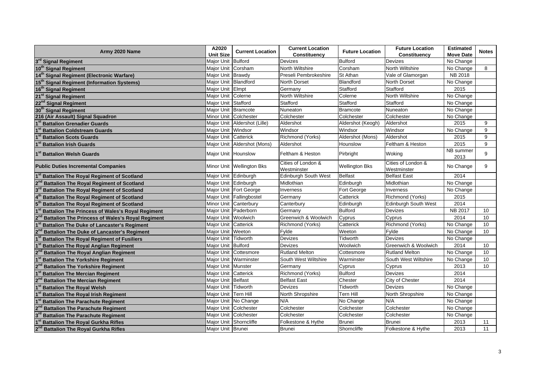| Army 2020 Name                                          | A2020                 |                              | <b>Current Location</b>           |                        | <b>Future Location</b>            | <b>Estimated</b>  |              |
|---------------------------------------------------------|-----------------------|------------------------------|-----------------------------------|------------------------|-----------------------------------|-------------------|--------------|
|                                                         | <b>Unit Size</b>      | <b>Current Location</b>      | Constituency                      | <b>Future Location</b> | Constituency                      | <b>Move Date</b>  | <b>Notes</b> |
| 3rd Signal Regiment                                     | Major Unit Bulford    |                              | <b>Devizes</b>                    | <b>Bulford</b>         | <b>Devizes</b>                    | No Change         |              |
| 10 <sup>th</sup> Signal Regiment                        | Maior Unit   Corsham  |                              | <b>North Wiltshire</b>            | Corsham                | North Wiltshire                   | No Change         | 8            |
| 14 <sup>th</sup> Signal Regiment (Electronic Warfare)   | Major Unit Brawdy     |                              | Preseli Pembrokeshire             | <b>St Athan</b>        | Vale of Glamorgan                 | <b>NB 2018</b>    |              |
| 15 <sup>th</sup> Signal Regiment (Information Systems)  | Major Unit Blandford  |                              | North Dorset                      | <b>Blandford</b>       | <b>North Dorset</b>               | No Change         |              |
| 16 <sup>th</sup> Signal Regiment                        | Major Unit Elmpt      |                              | Germany                           | Stafford               | Stafford                          | 2015              |              |
| 21 <sup>st</sup> Signal Regiment                        | Major Unit Colerne    |                              | <b>North Wiltshire</b>            | Colerne                | North Wiltshire                   | No Change         |              |
| 22 <sup>nd</sup> Signal Regiment                        | Major Unit Stafford   |                              | Stafford                          | Stafford               | Stafford                          | No Change         |              |
| 30 <sup>th</sup> Signal Regiment                        | Major Unit Bramcote   |                              | Nuneaton                          | Bramcote               | Nuneaton                          | No Change         |              |
| 216 (Air Assault) Signal Squadron                       |                       | Minor Unit   Colchester      | Colchester                        | Colchester             | Colchester                        | No Change         |              |
| <b>Battalion Grenadier Guards</b>                       |                       | Major Unit Aldershot (Lille) | Aldershot                         | Aldershot (Keogh)      | Aldershot                         | 2015              | 9            |
| <b>Battalion Coldstream Guards</b>                      | Major Unit Windsor    |                              | Windsor                           | Windsor                | Windsor                           | No Change         | 9            |
| <b>Battalion Scots Guards</b>                           | Major Unit Catterick  |                              | Richmond (Yorks)                  | Aldershot (Mons)       | Aldershot                         | 2015              | 9            |
| <b>Battalion Irish Guards</b>                           |                       | Major Unit Aldershot (Mons)  | Aldershot                         | Hounslow               | Feltham & Heston                  | 2015              | 9            |
| 1 <sup>st</sup> Battalion Welsh Guards                  |                       | Major Unit Hounslow          | Feltham & Heston                  | Pirbright              | Woking                            | NB summer<br>2013 | 9            |
| <b>Public Duties Incremental Companies</b>              |                       | Minor Unit   Wellington Bks  | Cities of London &<br>Westminster | <b>Wellington Bks</b>  | Cities of London &<br>Westminster | No Change         | 9            |
| <b>Battalion The Royal Regiment of Scotland</b>         |                       | Major Unit Edinburgh         | <b>Edinburgh South West</b>       | <b>Belfast</b>         | <b>Belfast East</b>               | 2014              |              |
| <b>Battalion The Royal Regiment of Scotland</b>         |                       | Major Unit Edinburgh         | Midlothian                        | Edinburgh              | Midlothian                        | No Change         |              |
| <b>Battalion The Royal Regiment of Scotland</b>         |                       | Major Unit Fort George       | Inverness                         | Fort George            | Inverness                         | No Change         |              |
| <b>Battalion The Royal Regiment of Scotland</b>         |                       | Major Unit Fallingbostel     | Germany                           | Catterick              | Richmond (Yorks)                  | 2015              |              |
| <b>Battalion The Royal Regiment of Scotland</b>         |                       | Minor Unit Canterbury        | Canterbury                        | Edinburgh              | Edinburgh South West              | 2014              |              |
| <b>Battalion The Princess of Wales's Royal Regiment</b> |                       | Major Unit Paderborn         | Germany                           | <b>Bulford</b>         | <b>Devizes</b>                    | NB 2017           | 10           |
| <b>Battalion The Princess of Wales's Royal Regiment</b> | Major Unit Woolwich   |                              | Greenwich & Woolwich              | Cyprus                 | Cyprus                            | 2014              | 10           |
| <b>Battalion The Duke of Lancaster's Regiment</b>       | Major Unit Catterick  |                              | Richmond (Yorks)                  | Catterick              | Richmond (Yorks)                  | No Change         | 10           |
| <b>Battalion The Duke of Lancaster's Regiment</b>       | Major Unit Weeton     |                              | Fylde                             | Weeton                 | Fylde                             | No Change         | 10           |
| <b>Battalion The Royal Regiment of Fusiliers</b>        | Maior Unit Tidworth   |                              | <b>Devizes</b>                    | <b>Tidworth</b>        | Devizes                           | No Change         |              |
| <b>Battalion The Royal Anglian Regiment</b>             | Major Unit Bulford    |                              | <b>Devizes</b>                    | Woolwich               | Greenwich & Woolwich              | 2014              | 10           |
| <b>Battalion The Royal Anglian Regiment</b>             |                       | Major Unit Cottesmore        | <b>Rutland Melton</b>             | Cottesmore             | <b>Rutland Melton</b>             | No Change         | 10           |
| <b>Battalion The Yorkshire Regiment</b>                 |                       | Major Unit Warminster        | South West Wiltshire              | Warminster             | South West Wiltshire              | No Change         | 10           |
| <b>Battalion The Yorkshire Regiment</b>                 | Major Unit Munster    |                              | Germany                           | Cyprus                 | Cyprus                            | 2013              | 10           |
| <b>Battalion The Mercian Regiment</b>                   | Major Unit Catterick  |                              | Richmond (Yorks)                  | <b>Bulford</b>         | Devizes                           | 2014              |              |
| <b>Battalion The Mercian Regiment</b>                   | Major Unit Belfast    |                              | <b>Belfast East</b>               | Chester                | City of Chester                   | 2014              |              |
| <b>Battalion The Royal Welsh</b>                        | Major Unit Tidworth   |                              | <b>Devizes</b>                    | Tidworth               | <b>Devizes</b>                    | No Change         |              |
| <b>Battalion The Royal Irish Regiment</b>               | Maior Unit ITern Hill |                              | North Shropshire                  | Tern Hill              | North Shropshire                  | No Change         |              |
| <b>Battalion The Parachute Regiment</b>                 |                       | Major Unit No Change         | N/A                               | No Change              | N/A                               | No Change         |              |
| <b>Battalion The Parachute Regiment</b>                 |                       | Major Unit Colchester        | Colchester                        | Colchester             | Colchester                        | No Change         |              |
| <b>Battalion The Parachute Regiment</b>                 |                       | Maior Unit   Colchester      | Colchester                        | Colchester             | Colchester                        | No Change         |              |
| <b>Battalion The Royal Gurkha Rifles</b>                |                       | Major Unit Shorncliffe       | Folkestone & Hythe                | <b>Brunei</b>          | <b>Brunei</b>                     | 2013              | 11           |
| 2 <sup>nd</sup> Battalion The Royal Gurkha Rifles       | Major Unit Brunei     |                              | <b>Brunei</b>                     | Shorncliffe            | Folkestone & Hythe                | 2013              | 11           |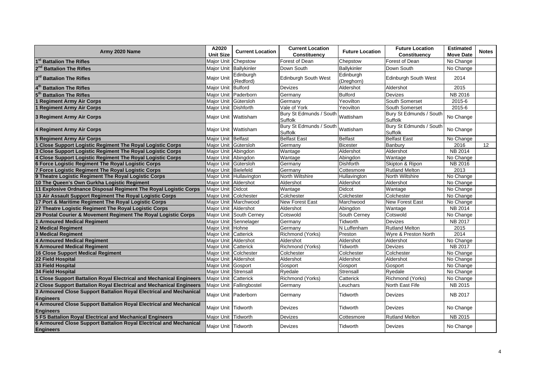| Army 2020 Name                                                                         | A2020                | <b>Current Location</b>  | <b>Current Location</b>                      |                         | <b>Future Location</b>             | <b>Estimated</b> |              |
|----------------------------------------------------------------------------------------|----------------------|--------------------------|----------------------------------------------|-------------------------|------------------------------------|------------------|--------------|
|                                                                                        | <b>Unit Size</b>     |                          | Constituency                                 | <b>Future Location</b>  | Constituency                       | <b>Move Date</b> | <b>Notes</b> |
| 1 <sup>st</sup> Battalion The Rifles                                                   |                      | Major Unit Chepstow      | Forest of Dean                               | Chepstow                | Forest of Dean                     | No Change        |              |
| <b>Battalion The Rifles</b>                                                            |                      | Major Unit   Ballykinler | Down South                                   | Ballykinler             | Down South                         | No Change        |              |
| 3rd Battalion The Rifles                                                               | <b>Major Unit</b>    | Edinburgh<br>(Redford)   | <b>Edinburgh South West</b>                  | Edinburgh<br>(Dreghorn) | <b>Edinburgh South West</b>        | 2014             |              |
| 4 <sup>th</sup> Battalion The Rifles                                                   | Major Unit Bulford   |                          | <b>Devizes</b>                               | Aldershot               | Aldershot                          | 2015             |              |
| 5 <sup>th</sup> Battalion The Rifles                                                   |                      | Maior Unit Paderborn     | Germany                                      | <b>Bulford</b>          | <b>Devizes</b>                     | <b>NB 2016</b>   |              |
| 1 Regiment Army Air Corps                                                              | Major Unit Gütersloh |                          | Germany                                      | Yeovilton               | South Somerset                     | 2015-6           |              |
| 1 Regiment Army Air Corps                                                              | Major Unit Dishforth |                          | Vale of York                                 | Yeovilton               | South Somerset                     | 2015-6           |              |
| 3 Regiment Army Air Corps                                                              |                      | Major Unit Wattisham     | Bury St Edmunds / South Wattisham<br>Suffolk |                         | Bury St Edmunds / South<br>Suffolk | No Change        |              |
| 4 Regiment Army Air Corps                                                              |                      | Major Unit Wattisham     | Bury St Edmunds / South Wattisham<br>Suffolk |                         | Bury St Edmunds / South<br>Suffolk | No Change        |              |
| <b>5 Regiment Army Air Corps</b>                                                       | Major Unit Belfast   |                          | <b>Belfast East</b>                          | <b>Belfast</b>          | <b>Belfast East</b>                | No Change        |              |
| 1 Close Support Logistic Regiment The Royal Logistic Corps                             | Major Unit Gütersloh |                          | Germany                                      | <b>Bicester</b>         | Banbury                            | 2016             | 12           |
| 3 Close Support Logistic Regiment The Royal Logistic Corps                             | Major Unit Abingdon  |                          | Wantage                                      | Aldershot               | Aldershot                          | NB 2014          |              |
| 4 Close Support Logistic Regiment The Royal Logistic Corps                             | Major Unit Abingdon  |                          | $\overline{\text{W}}$ antage                 | Abingdon                | Wantage                            | No Change        |              |
| 6 Force Logistic Regiment The Royal Logistic Corps                                     | Major Unit Gütersloh |                          | Germany                                      | <b>Dishforth</b>        | Skipton & Ripon                    | NB 2016          |              |
| 7 Force Logistic Regiment The Royal Logistic Corps                                     | Major Unit Bielefeld |                          | Germany                                      | Cottesmore              | <b>Rutland Melton</b>              | 2013             |              |
| 9 Theatre Logistic Regiment The Royal Logistic Corps                                   |                      | Major Unit Hullavington  | <b>North Wiltshire</b>                       | Hullavington            | North Wiltshire                    | No Change        |              |
| 10 The Queen's Own Gurkha Logistic Regiment                                            | Major Unit Aldershot |                          | Aldershot                                    | Aldershot               | Aldershot                          | No Change        |              |
| 11 Explosive Ordnance Disposal Regiment The Royal Logistic Corps                       | Major Unit Didcot    |                          | Wantage                                      | <b>Didcot</b>           | Wantage                            | No Change        |              |
| 13 Air Assault Support Regiment The Royal Logistic Corps                               |                      | Major Unit Colchester    | Colchester                                   | Colchester              | Colchester                         | No Change        |              |
| 17 Port & Maritime Regiment The Royal Logistic Corps                                   |                      | Major Unit Marchwood     | <b>New Forest East</b>                       | Marchwood               | New Forest East                    | No Change        |              |
| 27 Theatre Logistic Regiment The Royal Logistic Corps                                  | Major Unit Aldershot |                          | Aldershot                                    | Abingdon                | Wantage                            | <b>NB 2014</b>   |              |
| 29 Postal Courier & Movement Regiment The Royal Logistic Corps                         |                      | Maior Unit South Cernev  | Cotswold                                     | South Cernev            | Cotswold                           | No Change        |              |
| <b>1 Armoured Medical Regiment</b>                                                     |                      | Major Unit Sennelager    | Germany                                      | Tidworth                | Devizes                            | <b>NB 2017</b>   |              |
| 2 Medical Regiment                                                                     | Major Unit Hohne     |                          | Germany                                      | N Luffenham             | <b>Rutland Melton</b>              | 2015             |              |
| 3 Medical Regiment                                                                     | Major Unit Catterick |                          | Richmond (Yorks)                             | Preston                 | Wyre & Preston North               | 2014             |              |
| <b>4 Armoured Medical Regiment</b>                                                     | Major Unit Aldershot |                          | Aldershot                                    | Aldershot               | Aldershot                          | No Change        |              |
| <b>5 Armoured Medical Regiment</b>                                                     | Major Unit Catterick |                          | Richmond (Yorks)                             | Tidworth                | Devizes                            | <b>NB 2017</b>   |              |
| 16 Close Support Medical Regiment                                                      |                      | Major Unit Colchester    | Colchester                                   | Colchester              | Colchester                         | No Change        |              |
| 22 Field Hospital                                                                      | Major Unit Aldershot |                          | Aldershot                                    | Aldershot               | Aldershot                          | No Change        |              |
| 33 Field Hospital                                                                      | Major Unit Gosport   |                          | Gosport                                      | Gosport                 | Gosport                            | No Change        |              |
| 34 Field Hospital                                                                      | Major Unit Strensall |                          | Ryedale                                      | Strensall               | Ryedale                            | No Change        |              |
| 1 Close Support Battalion Royal Electrical and Mechanical Engineers                    | Major Unit Catterick |                          | Richmond (Yorks)                             | Catterick               | Richmond (Yorks)                   | No Change        |              |
| 2 Close Support Battalion Royal Electrical and Mechanical Engineers                    |                      | Major Unit Fallingbostel | Germany                                      | Leuchars                | North East Fife                    | NB 2015          |              |
| 3 Armoured Close Support Battalion Royal Electrical and Mechanical<br><b>Engineers</b> |                      | Major Unit Paderborn     | Germany                                      | Tidworth                | <b>Devizes</b>                     | NB 2017          |              |
| 4 Armoured Close Support Battalion Royal Electrical and Mechanical<br><b>Engineers</b> | Major Unit Tidworth  |                          | Devizes                                      | Tidworth                | <b>Devizes</b>                     | No Change        |              |
| 5 FS Battalion Royal Electrical and Mechanical Engineers                               | Major Unit Tidworth  |                          | <b>Devizes</b>                               | Cottesmore              | <b>Rutland Melton</b>              | NB 2015          |              |
| 6 Armoured Close Support Battalion Royal Electrical and Mechanical<br><b>Engineers</b> | Major Unit Tidworth  |                          | <b>Devizes</b>                               | Tidworth                | <b>Devizes</b>                     | No Change        |              |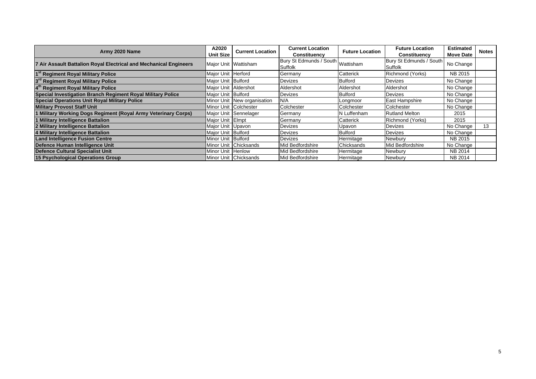| Army 2020 Name                                                    | A2020                | <b>Current Location</b>     | <b>Current Location</b>           | <b>Future Location</b> | <b>Future Location</b>  | <b>Estimated</b> | <b>Notes</b> |
|-------------------------------------------------------------------|----------------------|-----------------------------|-----------------------------------|------------------------|-------------------------|------------------|--------------|
|                                                                   | <b>Unit Size</b>     |                             | <b>Constituency</b>               |                        | <b>Constituency</b>     | <b>Move Date</b> |              |
| 7 Air Assault Battalion Royal Electrical and Mechanical Engineers |                      | Major Unit Wattisham        | Bury St Edmunds / South Wattisham |                        | Bury St Edmunds / South | No Change        |              |
|                                                                   |                      |                             | Suffolk                           |                        | Suffolk                 |                  |              |
| 1 <sup>st</sup> Regiment Royal Military Police                    | Major Unit Herford   |                             | Germany                           | Catterick              | Richmond (Yorks)        | NB 2015          |              |
| 3 <sup>rd</sup> Regiment Royal Military Police                    | Major Unit Bulford   |                             | Devizes                           | Bulford                | <b>Devizes</b>          | No Change        |              |
| 4 <sup>th</sup> Regiment Royal Military Police                    | Major Unit Aldershot |                             | Aldershot                         | Aldershot              | Aldershot               | No Change        |              |
| Special Investigation Branch Regiment Royal Military Police       | Major Unit Bulford   |                             | Devizes                           | Bulford                | <b>Devizes</b>          | No Change        |              |
| <b>Special Operations Unit Royal Military Police</b>              |                      | Minor Unit New organisation | N/A                               | Longmoor               | East Hampshire          | No Change        |              |
| <b>Military Provost Staff Unit</b>                                |                      | Minor Unit Colchester       | Colchester                        | Colchester             | Colchester              | No Change        |              |
| 1 Military Working Dogs Regiment (Royal Army Veterinary Corps)    |                      | Major Unit Sennelager       | Germany                           | N Luffenham            | <b>Rutland Melton</b>   | 2015             |              |
| 1 Military Intelligence Battalion                                 | Major Unit Elmpt     |                             | Germany                           | Catterick              | Richmond (Yorks)        | 2015             |              |
| 2 Military Intelligence Battalion                                 | Major Unit   Upavon  |                             | Devizes                           | Upavon                 | Devizes                 | No Change        | 13           |
| 4 Military Intelligence Battalion                                 | Major Unit Bulford   |                             | Devizes                           | Bulford                | Devizes                 | No Change        |              |
| <b>Land Intelligence Fusion Centre</b>                            | Minor Unit Bulford   |                             | <b>IDevizes</b>                   | Hermitage              | <b>Newbury</b>          | NB 2015          |              |
| Defence Human Intelligence Unit                                   |                      | Minor Unit Chicksands       | Mid Bedfordshire                  | Chicksands             | Mid Bedfordshire        | No Change        |              |
| <b>Defence Cultural Specialist Unit</b>                           | Minor Unit Henlow    |                             | Mid Bedfordshire                  | Hermitage              | Newbury                 | NB 2014          |              |
| 15 Psychological Operations Group                                 |                      | Minor Unit Chicksands       | Mid Bedfordshire                  | Hermitage              | Newbury                 | NB 2014          |              |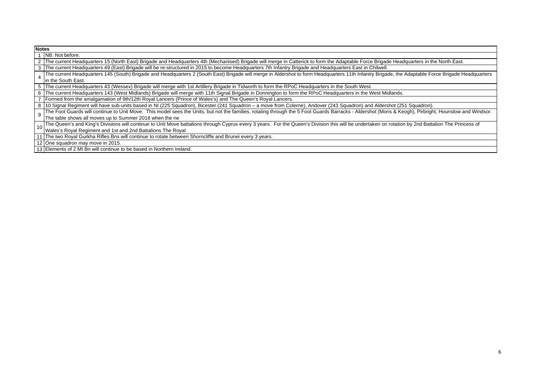| <b>Notes</b> |                                                                                                                                                                                                       |
|--------------|-------------------------------------------------------------------------------------------------------------------------------------------------------------------------------------------------------|
|              | NB: Not before.                                                                                                                                                                                       |
|              | 2   The current Headquarters 15 (North East) Brigade and Headquarters 4th (Mechanised) Brigade will merge in Catterick to form the Adaptable Force Brigade Headquarters in the North East.            |
|              | 3   The current Headquarters 49 (East) Brigade will be re-structured in 2015 to become Headquarters 7th Infantry Brigade and Headquarters East in Chilwell.                                           |
|              | The current Headquarters 145 (South) Brigade and Headquarters 2 (South East) Brigade will merge in Aldershot to form Headquarters 11th Infantry Brigade, the Adaptable Force Brigade Headquarters     |
|              | In the South East.                                                                                                                                                                                    |
|              | 5 The current Headquarters 43 (Wessex) Brigade will merge with 1st Artillery Brigade in Tidworth to form the RPoC Headquarters in the South West.                                                     |
|              | 6 The current Headquarters 143 (West Midlands) Brigade will merge with 11th Signal Brigade in Donnington to form the RPoC Headquarters in the West Midlands.                                          |
|              | Formed from the amalgamation of 9th/12th Royal Lancers (Prince of Wales's) and The Queen's Royal Lancers.                                                                                             |
|              | 8 10 Signal Regiment will have sub-units based in NI (225 Squadron), Bicester (241 Squadron - a move from Colerne), Andover (243 Squadron) and Aldershot (251 Squadron).                              |
|              | The Foot Guards will continue to Unit Move. This model sees the Units, but not the families, rotating through the 5 Foot Guards Barracks - Aldershot (Mons & Keogh), Pirbright, Hounslow and Windsor. |
|              | The table shows all moves up to Summer 2018 when the ne                                                                                                                                               |
| 10           | The Queen's and King's Divisions will continue to Unit Move battalions through Cyprus every 3 years. For the Queen's Division this will be undertaken on rotation by 2nd Battalion The Princess of    |
|              | Wales's Royal Regiment and 1st and 2nd Battalions The Royal                                                                                                                                           |
|              | 11 The two Royal Gurkha Rifles Bns will continue to rotate between Shorncliffe and Brunei every 3 years.                                                                                              |
|              | 12 One squadron may move in 2015.                                                                                                                                                                     |

13 Elements of 2 MI Bn will continue to be based in Northern Ireland.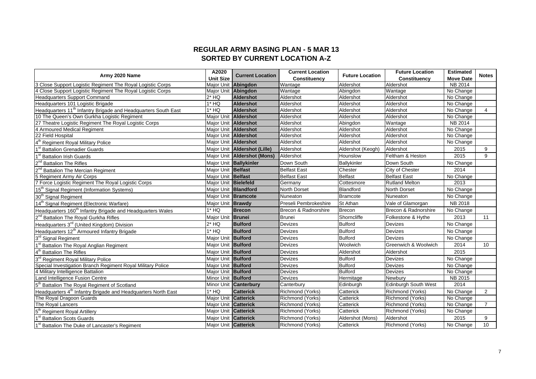## **REGULAR ARMY BASING PLAN - 5 MAR 13 SORTED BY CURRENT LOCATION A-Z**

| Army 2020 Name                                                             | A2020                       | <b>Current Location</b>      | <b>Current Location</b><br><b>Future Location</b> | <b>Future Location</b> | <b>Estimated</b>            | <b>Notes</b>     |                |
|----------------------------------------------------------------------------|-----------------------------|------------------------------|---------------------------------------------------|------------------------|-----------------------------|------------------|----------------|
|                                                                            | <b>Unit Size</b>            |                              | Constituency                                      |                        | Constituency                | <b>Move Date</b> |                |
| 3 Close Support Logistic Regiment The Royal Logistic Corps                 |                             | Major Unit Abingdon          | Wantage                                           | Aldershot              | Aldershot                   | NB 2014          |                |
| 4 Close Support Logistic Regiment The Royal Logistic Corps                 |                             | Major Unit Abingdon          | Wantage                                           | Abingdon               | Wantage                     | No Change        |                |
| Headquarters Support Command                                               | $2*$ HQ                     | Aldershot                    | Aldershot                                         | Aldershot              | Aldershot                   | No Change        |                |
| Headquarters 101 Logistic Brigade                                          | $1*$ HQ                     | Aldershot                    | Aldershot                                         | Aldershot              | Aldershot                   | No Change        |                |
| Headquarters 11 <sup>th</sup> Infantry Brigade and Headquarters South East | $1*$ HQ                     | <b>Aldershot</b>             | Aldershot                                         | Aldershot              | Aldershot                   | No Change        | $\overline{4}$ |
| 10 The Queen's Own Gurkha Logistic Regiment                                | Maior Unit Aldershot        |                              | Aldershot                                         | Aldershot              | Aldershot                   | No Change        |                |
| 27 Theatre Logistic Regiment The Royal Logistic Corps                      | Major Unit Aldershot        |                              | Aldershot                                         | Abingdon               | Wantage                     | NB 2014          |                |
| 4 Armoured Medical Regiment                                                | Maior Unit Aldershot        |                              | Aldershot                                         | Aldershot              | Aldershot                   | No Change        |                |
| 22 Field Hospital                                                          | Major Unit Aldershot        |                              | Aldershot                                         | Aldershot              | Aldershot                   | No Change        |                |
| <b>Regiment Royal Military Police</b>                                      |                             | Major Unit Aldershot         | Aldershot                                         | Aldershot              | Aldershot                   | No Change        |                |
| <b>Battalion Grenadier Guards</b>                                          |                             | Major Unit Aldershot (Lille) | Aldershot                                         | Aldershot (Keogh)      | Aldershot                   | 2015             | 9              |
| <b>Battalion Irish Guards</b>                                              |                             | Major Unit Aldershot (Mons)  | Aldershot                                         | Hounslow               | Feltham & Heston            | 2015             | 9              |
| <b>Battalion The Rifles</b>                                                |                             | Major Unit Ballykinler       | Down South                                        | Ballykinler            | Down South                  | No Change        |                |
| <b>Battalion The Mercian Regiment</b>                                      | Major Unit Belfast          |                              | <b>Belfast East</b>                               | Chester                | City of Chester             | 2014             |                |
| 5 Regiment Army Air Corps                                                  | Maior Unit Belfast          |                              | <b>Belfast East</b>                               | <b>Belfast</b>         | <b>Belfast East</b>         | No Change        |                |
| 7 Force Logistic Regiment The Royal Logistic Corps                         | Major Unit Bielefeld        |                              | Germany                                           | Cottesmore             | <b>Rutland Melton</b>       | 2013             |                |
| 15 <sup>th</sup> Signal Regiment (Information Systems)                     |                             | Major Unit Blandford         | North Dorset                                      | <b>Blandford</b>       | <b>North Dorset</b>         | No Change        |                |
| 30 <sup>th</sup> Signal Regiment                                           | Maior Unit Bramcote         |                              | Nuneaton                                          | Bramcote               | Nuneaton                    | No Change        |                |
| 14 <sup>th</sup> Signal Regiment (Electronic Warfare)                      | Major Unit <b>Brawdy</b>    |                              | Preseli Pembrokeshire                             | St Athan               | Vale of Glamorgan           | NB 2018          |                |
| Headquarters 160 <sup>th</sup> Infantry Brigade and Headquarters Wales     | $1*$ HQ                     | <b>Brecon</b>                | Brecon & Radnorshire                              | Brecon                 | Brecon & Radnorshire        | No Change        |                |
| 2 <sup>nd</sup> Battalion The Royal Gurkha Rifles                          | Major Unit Brunei           |                              | <b>Brunei</b>                                     | Shorncliffe            | Folkestone & Hythe          | 2013             | 11             |
| Headquarters 3 <sup>rd</sup> (United Kingdom) Division                     | $2*$ HQ                     | <b>Bulford</b>               | <b>Devizes</b>                                    | <b>Bulford</b>         | <b>Devizes</b>              | No Change        |                |
| Headquarters 12 <sup>th</sup> Armoured Infantry Brigade                    | $1*$ HQ                     | <b>Bulford</b>               | <b>Devizes</b>                                    | <b>Bulford</b>         | <b>Devizes</b>              | No Change        |                |
| 3rd Signal Regiment                                                        | Major Unit Bulford          |                              | <b>Devizes</b>                                    | <b>Bulford</b>         | <b>Devizes</b>              | No Change        |                |
| <b>Battalion The Royal Anglian Regiment</b>                                | Major Unit Bulford          |                              | Devizes                                           | Woolwich               | Greenwich & Woolwich        | 2014             | 10             |
| 4 <sup>th</sup><br><b>Battalion The Rifles</b>                             | Major Unit Bulford          |                              | Devizes                                           | Aldershot              | Aldershot                   | 2015             |                |
| 3 <sup>rd</sup><br><b>Regiment Royal Military Police</b>                   | Major Unit Bulford          |                              | <b>Devizes</b>                                    | <b>Bulford</b>         | <b>Devizes</b>              | No Change        |                |
| Special Investigation Branch Regiment Royal Military Police                | Major Unit Bulford          |                              | <b>Devizes</b>                                    | <b>Bulford</b>         | <b>Devizes</b>              | No Change        |                |
| 4 Military Intelligence Battalion                                          | Major Unit Bulford          |                              | Devizes                                           | <b>Bulford</b>         | <b>Devizes</b>              | No Change        |                |
| Land Intelligence Fusion Centre                                            | Minor Unit Bulford          |                              | Devizes                                           | Hermitage              | Newbury                     | NB 2015          |                |
| Battalion The Royal Regiment of Scotland                                   |                             | Minor Unit Canterbury        | Canterbury                                        | Edinburgh              | <b>Edinburgh South West</b> | 2014             |                |
| Headquarters 4 <sup>th</sup> Infantry Brigade and Headquarters North East  | $1*$ HQ                     | <b>Catterick</b>             | Richmond (Yorks)                                  | Catterick              | Richmond (Yorks)            | No Change        | 2              |
| The Royal Dragoon Guards                                                   | Maior Unit Catterick        |                              | Richmond (Yorks)                                  | Catterick              | Richmond (Yorks)            | No Change        |                |
| The Royal Lancers                                                          | Major Unit <b>Catterick</b> |                              | Richmond (Yorks)                                  | Catterick              | Richmond (Yorks)            | No Change        | $\overline{7}$ |
| 5 <sup>th</sup> Regiment Royal Artillery                                   | Major Unit <b>Catterick</b> |                              | Richmond (Yorks)                                  | Catterick              | Richmond (Yorks)            | No Change        |                |
| <b>Battalion Scots Guards</b>                                              | Major Unit Catterick        |                              | Richmond (Yorks)                                  | Aldershot (Mons)       | Aldershot                   | 2015             | 9              |
| 1 <sup>st</sup> Battalion The Duke of Lancaster's Regiment                 | Major Unit Catterick        |                              | Richmond (Yorks)                                  | Catterick              | Richmond (Yorks)            | No Change        | 10             |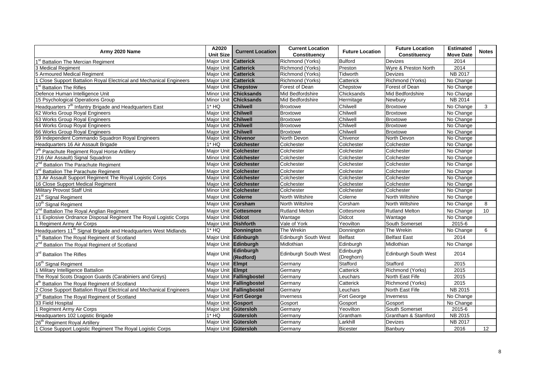|                                                                             | A2020                   |                          | <b>Current Location</b>     |                         | <b>Future Location</b> | <b>Estimated</b> |                 |
|-----------------------------------------------------------------------------|-------------------------|--------------------------|-----------------------------|-------------------------|------------------------|------------------|-----------------|
| Army 2020 Name                                                              | <b>Unit Size</b>        | <b>Current Location</b>  | Constituency                | <b>Future Location</b>  | Constituency           | <b>Move Date</b> | <b>Notes</b>    |
| 1 <sup>st</sup> Battalion Th <u>e Mercian Regiment</u>                      | Major Unit              | <b>Catterick</b>         | Richmond (Yorks)            | <b>Bulford</b>          | Devizes                | 2014             |                 |
| 3 Medical Regiment                                                          | Major Unit              | <b>Catterick</b>         | Richmond (Yorks)            | Preston                 | Wyre & Preston North   | 2014             |                 |
| 5 Armoured Medical Regiment                                                 | Major Unit              | <b>Catterick</b>         | Richmond (Yorks)            | Tidworth                | <b>Devizes</b>         | <b>NB 2017</b>   |                 |
| 1 Close Support Battalion Royal Electrical and Mechanical Engineers         | Major Unit              | <b>Catterick</b>         | Richmond (Yorks)            | Catterick               | Richmond (Yorks)       | No Change        |                 |
| 1 <sup>st</sup> Battalion The Rifles                                        | Major Unit Chepstow     |                          | Forest of Dean              | Chepstow                | Forest of Dean         | No Change        |                 |
| Defence Human Intelligence Unit                                             | Minor Unit              | <b>Chicksands</b>        | Mid Bedfordshire            | Chicksands              | Mid Bedfordshire       | No Change        |                 |
| 15 Psychological Operations Group                                           | Minor Unit              | <b>Chicksands</b>        | Mid Bedfordshire            | Hermitage               | Newbury                | <b>NB 2014</b>   |                 |
| Headquarters 7 <sup>th</sup> Infantry Brigade and Headquarters East         | $1*$ HQ                 | <b>Chilwell</b>          | <b>Broxtowe</b>             | Chilwell                | <b>Broxtowe</b>        | No Change        | 3               |
| 62 Works Group Royal Engineers                                              | Major Unit Chilwell     |                          | <b>Broxtowe</b>             | Chilwell                | Broxtowe               | No Change        |                 |
| 63 Works Group Royal Engineers                                              | Major Unit              | <b>Chilwell</b>          | <b>Broxtowe</b>             | Chilwell                | <b>Broxtowe</b>        | No Change        |                 |
| 64 Works Group Royal Engineers                                              | Major Unit              | <b>Chilwell</b>          | <b>Broxtowe</b>             | Chilwell                | <b>Broxtowe</b>        | No Change        |                 |
| 66 Works Group Royal Engineers                                              | Major Unit Chilwell     |                          | <b>Broxtowe</b>             | Chilwell                | <b>Broxtowe</b>        | No Change        |                 |
| 59 Independent Commando Squadron Royal Engineers                            | Major Unit              | <b>Chivenor</b>          | North Devon                 | Chivenor                | North Devon            | No Change        |                 |
| Headquarters 16 Air Assault Brigade                                         | 1* HQ                   | <b>Colchester</b>        | Colchester                  | Colchester              | Colchester             | No Change        |                 |
| 7 <sup>th</sup> Parachute Regiment Royal Horse Artillery                    |                         | Maior Unit Colchester    | Colchester                  | Colchester              | Colchester             | No Change        |                 |
| 216 (Air Assault) Signal Squadron                                           | Minor Unit              | <b>Colchester</b>        | Colchester                  | Colchester              | Colchester             | No Change        |                 |
| 2 <sup>nd</sup> Battalion The Parachute Regiment                            | Major Unit              | <b>Colchester</b>        | Colchester                  | Colchester              | Colchester             | No Change        |                 |
| 3 <sup>rd</sup> Battalion The Parachute Regiment                            |                         | Major Unit Colchester    | Colchester                  | Colchester              | Colchester             | No Change        |                 |
| 13 Air Assault Support Regiment The Royal Logistic Corps                    | Major Unit              | <b>Colchester</b>        | Colchester                  | Colchester              | Colchester             | No Change        |                 |
| 16 Close Support Medical Regiment                                           | Major Unit              | <b>Colchester</b>        | Colchester                  | Colchester              | Colchester             | No Change        |                 |
| Military Provost Staff Unit                                                 | Minor Unit              | <b>Colchester</b>        | Colchester                  | Colchester              | Colchester             | No Change        |                 |
| 21 <sup>st</sup> Signal Regiment                                            | Major Unit              | <b>Colerne</b>           | North Wiltshire             | Colerne                 | North Wiltshire        | No Change        |                 |
| 10 <sup>th</sup> Signal Regiment                                            | Maior Unit              | Corsham                  | <b>North Wiltshire</b>      | Corsham                 | <b>North Wiltshire</b> | No Change        | 8               |
| 2 <sup>nd</sup> Battalion The Royal Anglian Regiment                        | <b>Major Unit</b>       | <b>Cottesmore</b>        | <b>Rutland Melton</b>       | Cottesmore              | <b>Rutland Melton</b>  | No Change        | 10 <sup>1</sup> |
| 11 Explosive Ordnance Disposal Regiment The Royal Logistic Corps            | Major Unit              | <b>Didcot</b>            | Wantage                     | Didcot                  | Wantage                | No Change        |                 |
| 1 Regiment Army Air Corps                                                   | Major Unit Dishforth    |                          | Vale of York                | Yeovilton               | South Somerset         | 2015-6           |                 |
| Headquarters 11 <sup>th</sup> Signal Brigade and Headquarters West Midlands | $1*$ HQ                 | <b>Donnington</b>        | The Wrekin                  | Donnington              | The Wrekin             | No Change        | 6               |
| 1 <sup>st</sup> Battalion The Royal Regiment of Scotland                    | Major Unit              | <b>Edinburgh</b>         | <b>Edinburgh South West</b> | <b>Belfast</b>          | <b>Belfast East</b>    | 2014             |                 |
| 2 <sup>nd</sup> Battalion The Royal Regiment of Scotland                    |                         | Major Unit Edinburgh     | Midlothian                  | Edinburgh               | Midlothian             | No Change        |                 |
| 3 <sup>rd</sup> Battalion The Rifles                                        | <b>Major Unit</b>       | Edinburgh<br>(Redford)   | <b>Edinburgh South West</b> | Edinburgh<br>(Dreghorn) | Edinburgh South West   | 2014             |                 |
| 16 <sup>th</sup> Signal Regiment                                            | Major Unit <b>Elmpt</b> |                          | Germany                     | Stafford                | Stafford               | 2015             |                 |
| 1 Military Intelligence Battalion                                           | Maior Unit Elmpt        |                          | Germany                     | Catterick               | Richmond (Yorks)       | 2015             |                 |
| The Royal Scots Dragoon Guards (Carabiniers and Greys)                      |                         | Major Unit Fallingbostel | Germany                     | Leuchars                | North East Fife        | 2015             |                 |
| 4 <sup>th</sup> Battalion The Royal Regiment of Scotland                    |                         | Major Unit Fallingbostel | Germany                     | Catterick               | Richmond (Yorks)       | 2015             |                 |
| 2 Close Support Battalion Royal Electrical and Mechanical Engineers         |                         | Major Unit Fallingbostel | Germany                     | Leuchars                | North East Fife        | <b>NB 2015</b>   |                 |
| 3rd Battalion The Royal Regiment of Scotland                                |                         | Major Unit Fort George   | Inverness                   | Fort George             | Inverness              | No Change        |                 |
| 33 Field Hospital                                                           | Major Unit              | <b>Gosport</b>           | Gosport                     | Gosport                 | Gosport                | No Change        |                 |
| 1 Regiment Army Air Corps                                                   | Major Unit Gütersloh    |                          | Germany                     | Yeovilton               | South Somerset         | 2015-6           |                 |
| Headquarters 102 Logistic Brigade                                           | $1*$ HQ                 | Gütersloh                | Germany                     | Grantham                | Grantham & Stamford    | NB 2015          |                 |
| 26 <sup>th</sup> Regiment Royal Artillery                                   | Major Unit Gütersloh    |                          | Germany                     | Larkhill                | Devizes                | NB 2017          |                 |
| 1 Close Support Logistic Regiment The Roval Logistic Corps                  | Maior Unit Gütersloh    |                          | Germany                     | Bicester                | Banbury                | 2016             | 12              |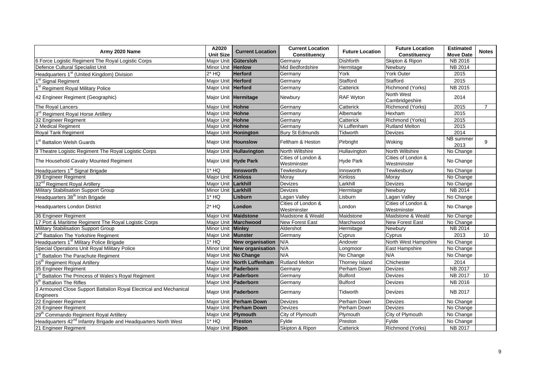| Army 2020 Name                                                                  | A2020               | <b>Current Location</b>       | <b>Current Location</b>           | <b>Future Location</b> | <b>Future Location</b>            | <b>Estimated</b>  | <b>Notes</b>   |
|---------------------------------------------------------------------------------|---------------------|-------------------------------|-----------------------------------|------------------------|-----------------------------------|-------------------|----------------|
|                                                                                 | <b>Unit Size</b>    |                               | Constituency                      |                        | Constituency                      | <b>Move Date</b>  |                |
| 6 Force Logistic Regiment The Royal Logistic Corps                              | Maior Unit          | Gütersloh                     | Germany                           | <b>Dishforth</b>       | Skipton & Ripon                   | NB 2016           |                |
| Defence Cultural Specialist Unit                                                | Minor Unit Henlow   |                               | Mid Bedfordshire                  | Hermitage              | Newbury                           | <b>NB 2014</b>    |                |
| Headquarters 1 <sup>st</sup> (United Kingdom) Division                          | $2*$ HQ             | <b>Herford</b>                | Germany                           | York                   | <b>York Outer</b>                 | 2015              |                |
| 1 <sup>st</sup> Signal Regiment                                                 | Major Unit Herford  |                               | Germany                           | Stafford               | Stafford                          | 2015              |                |
| 1 <sup>st</sup> Regiment Royal Military Police                                  | Maior Unit Herford  |                               | Germany                           | Catterick              | Richmond (Yorks)                  | <b>NB 2015</b>    |                |
| 42 Engineer Regiment (Geographic)                                               |                     | Major Unit Hermitage          | Newbury                           | RAF Wyton              | North West<br>Cambridgeshire      | 2014              |                |
| The Roval Lancers                                                               | Major Unit Hohne    |                               | Germany                           | Catterick              | Richmond (Yorks)                  | 2015              | $\overline{7}$ |
| 3 <sup>rd</sup> Regiment Royal Horse Artillery                                  | Major Unit Hohne    |                               | Germany                           | Albemarle              | Hexham                            | 2015              |                |
| 32 Engineer Regiment                                                            | Major Unit Hohne    |                               | Germany                           | Catterick              | Richmond (Yorks)                  | 2015              |                |
| 2 Medical Regiment                                                              | Major Unit Hohne    |                               | Germany                           | N Luffenham            | <b>Rutland Melton</b>             | 2015              |                |
| Royal Tank Regiment                                                             |                     | Major Unit Honington          | <b>Bury St Edmunds</b>            | Tidworth               | Devizes                           | 2014              |                |
| 1 <sup>st</sup> Battalion Welsh Guards                                          |                     | Major Unit Hounslow           | Feltham & Heston                  | Pirbright              | Woking                            | NB summer<br>2013 | 9              |
| 9 Theatre Logistic Regiment The Royal Logistic Corps                            |                     | Major Unit Hullavington       | North Wiltshire                   | Hullavington           | North Wiltshire                   | No Change         |                |
| The Household Cavalry Mounted Regiment                                          |                     | Major Unit Hyde Park          | Cities of London &<br>Westminster | <b>Hyde Park</b>       | Cities of London &<br>Westminster | No Change         |                |
| Headquarters 1 <sup>st</sup> Signal Brigade                                     | $1*$ HQ             | Innsworth                     | Tewkesbury                        | Innsworth              | Tewkesbury                        | No Change         |                |
| 39 Engineer Regiment                                                            | Major Unit Kinloss  |                               | Moray                             | Kinloss                | Moray                             | No Change         |                |
| 32 <sup>nd</sup> Regiment Royal Artillery                                       | Major Unit Larkhill |                               | Devizes                           | Larkhill               | Devizes                           | No Change         |                |
| Military Stabilisation Support Group                                            | Minor Unit Larkhill |                               | Devizes                           | Hermitage              | Newbury                           | <b>NB 2014</b>    |                |
| Headquarters 38 <sup>th</sup> Irish Brigade                                     | $1*$ HQ             | Lisburn                       | Lagan Valley                      | Lisburn                | Lagan Valley                      | No Change         |                |
| <b>Headquarters London District</b>                                             | $2*$ HQ             | London                        | Cities of London &<br>Westminster | London                 | Cities of London &<br>Westminster | No Change         |                |
| 36 Engineer Regiment                                                            |                     | Major Unit Maidstone          | Maidstone & Weald                 | Maidstone              | Maidstone & Weald                 | No Change         |                |
| 17 Port & Maritime Regiment The Royal Logistic Corps                            |                     | Major Unit Marchwood          | New Forest East                   | Marchwood              | New Forest East                   | No Change         |                |
| Military Stabilisation Support Group                                            | Minor Unit Minley   |                               | Aldershot                         | Hermitage              | Newbury                           | NB 2014           |                |
| 2 <sup>nd</sup> Battalion The Yorkshire Regiment                                | Major Unit Munster  |                               | Germany                           | Cyprus                 | Cyprus                            | 2013              | 10             |
| Headquarters 1 <sup>st</sup> Military Police Brigade                            | $1*$ HQ             | <b>New organisation</b>       | N/A                               | Andover                | North West Hampshire              | No Change         |                |
| Special Operations Unit Royal Military Police                                   |                     | Minor Unit New organisation   | N/A                               | Longmoor               | East Hampshire                    | No Change         |                |
| 1 <sup>st</sup> Battalion The Parachute Regiment                                |                     | Major Unit No Change          | N/A                               | No Change              | N/A                               | No Change         |                |
| 16 <sup>th</sup> Regiment Royal Artillery                                       |                     | Maior Unit North Luffenham    | <b>Rutland Melton</b>             | Thorney Island         | Chichester                        | 2014              |                |
| 35 Engineer Regiment                                                            |                     | Maior Unit Paderborn          | Germany                           | Perham Down            | <b>Devizes</b>                    | <b>NB 2017</b>    |                |
| 1 <sup>st</sup> Battalion The Princess of Wales's Royal Regiment                |                     | Major Unit Paderborn          | Germany                           | <b>Bulford</b>         | Devizes                           | NB 2017           | 10             |
| 5 <sup>th</sup> Battalion The Rifles                                            |                     | Major Unit <b>Paderborn</b>   | Germany                           | <b>Bulford</b>         | Devizes                           | NB 2016           |                |
| 3 Armoured Close Support Battalion Royal Electrical and Mechanical<br>Engineers |                     | Major Unit Paderborn          | Germany                           | Tidworth               | Devizes                           | NB 2017           |                |
| 22 Engineer Regiment                                                            |                     | Maior Unit <b>Perham Down</b> | <b>Devizes</b>                    | Perham Down            | Devizes                           | No Change         |                |
| 26 Engineer Regiment                                                            |                     | Major Unit Perham Down        | <b>Devizes</b>                    | Perham Down            | <b>Devizes</b>                    | No Change         |                |
| 29 <sup>th</sup> Commando Regiment Royal Artillery                              | Major Unit Plymouth |                               | City of Plymouth                  | Plymouth               | City of Plymouth                  | No Change         |                |
| Headquarters 42 <sup>nd</sup> Infantry Brigade and Headquarters North West      | $1*$ HQ             | Preston                       | Fylde                             | Preston                | Fylde                             | No Change         |                |
| 21 Engineer Regiment                                                            | Major Unit Ripon    |                               | Skipton & Ripon                   | Catterick              | Richmond (Yorks)                  | <b>NB 2017</b>    |                |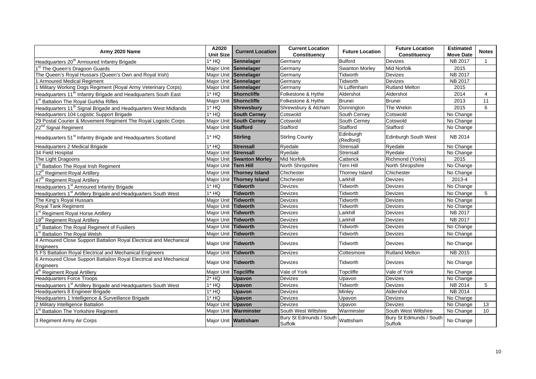|                                                                                 | A2020                | <b>Current Location</b>   | <b>Current Location</b><br><b>Future Location</b> |                        | <b>Future Location</b>             | <b>Estimated</b> | <b>Notes</b>    |
|---------------------------------------------------------------------------------|----------------------|---------------------------|---------------------------------------------------|------------------------|------------------------------------|------------------|-----------------|
| Army 2020 Name                                                                  | <b>Unit Size</b>     |                           | Constituency                                      |                        | Constituency                       | <b>Move Date</b> |                 |
| Headquarters 20 <sup>th</sup> Armoured Infantry Brigade                         | $1*$ HQ              | <b>Sennelager</b>         | Germany                                           | <b>Bulford</b>         | Devizes                            | NB 2017          | $\overline{1}$  |
| 1 <sup>st</sup> The Queen's Dragoon Guards                                      |                      | Major Unit Sennelager     | Germany                                           | Swanton Morley         | <b>Mid Norfolk</b>                 | 2015             |                 |
| The Queen's Royal Hussars (Queen's Own and Royal Irish)                         |                      | Major Unit Sennelager     | Germany                                           | Tidworth               | Devizes                            | <b>NB 2017</b>   |                 |
| 1 Armoured Medical Regiment                                                     |                      | Major Unit Sennelager     | Germany                                           | Tidworth               | <b>Devizes</b>                     | <b>NB 2017</b>   |                 |
| Military Working Dogs Regiment (Royal Army Veterinary Corps)                    |                      | Major Unit Sennelager     | Germany                                           | N Luffenham            | <b>Rutland Melton</b>              | 2015             |                 |
| Headquarters 11 <sup>th</sup> Infantry Brigade and Headquarters South East      | $1*$ HQ              | <b>Shorncliffe</b>        | Folkestone & Hythe                                | Aldershot              | Aldershot                          | 2014             | $\overline{4}$  |
| 1 <sup>st</sup> Battalion The Royal Gurkha Rifles                               |                      | Major Unit Shorncliffe    | Folkestone & Hythe                                | <b>Brunei</b>          | <b>Brunei</b>                      | 2013             | 11              |
| Headquarters 11 <sup>th</sup> Signal Brigade and Headquarters West Midlands     | $1*$ HQ              | <b>Shrewsbury</b>         | Shrewsbury & Atcham                               | Donnington             | The Wrekin                         | 2015             | 6               |
| Headquarters 104 Logistic Support Brigade                                       | $1*HO$               | <b>South Cerney</b>       | Cotswold                                          | South Cerney           | Cotswold                           | No Change        |                 |
| 29 Postal Courier & Movement Regiment The Royal Logistic Corps                  | Major Unit           | <b>South Cerney</b>       | Cotswold                                          | South Cerney           | Cotswold                           | No Change        |                 |
| 22 <sup>nd</sup> Signal Regiment                                                | Major Unit Stafford  |                           | Stafford                                          | Stafford               | Stafford                           | No Change        |                 |
| Headquarters 51 <sup>st</sup> Infantry Brigade and Headquarters Scotland        | $1*$ HQ              | <b>Stirling</b>           | <b>Stirling County</b>                            | Edinburgh<br>(Redford) | <b>Edinburgh South West</b>        | <b>NB 2014</b>   |                 |
| Headquarters 2 Medical Brigade                                                  | $1*$ HQ              | <b>Strensall</b>          | Ryedale                                           | Strensall              | Ryedale                            | No Change        |                 |
| 34 Field Hospital                                                               | Maior Unit Strensall |                           | Ryedale                                           | Strensall              | Rvedale                            | No Change        |                 |
| The Light Dragoons                                                              |                      | Major Unit Swanton Morley | <b>Mid Norfolk</b>                                | Catterick              | Richmond (Yorks)                   | 2015             |                 |
| <b>Battalion The Royal Irish Regiment</b>                                       | Major Unit Tern Hill |                           | North Shropshire                                  | Tern Hill              | North Shropshire                   | No Change        |                 |
| 12 <sup>th</sup> Regiment Royal Artillery                                       |                      | Major Unit Thorney Island | Chichester                                        | Thorney Island         | Chichester                         | No Change        |                 |
| 47 <sup>th</sup> Regiment Royal Artillery                                       |                      | Major Unit Thorney Island | Chichester                                        | Larkhill               | Devizes                            | 2013-4           |                 |
| Headquarters 1 <sup>st</sup> Armoured Infantry Brigade                          | $1*$ HQ              | <b>Tidworth</b>           | <b>Devizes</b>                                    | <b>Tidworth</b>        | Devizes                            | No Change        |                 |
| Headquarters 1 <sup>st</sup> Artillery Brigade and Headquarters South West      | $1*$ HQ              | <b>Tidworth</b>           | <b>Devizes</b>                                    | Tidworth               | Devizes                            | No Change        | 5               |
| The King's Royal Hussars                                                        | Major Unit Tidworth  |                           | Devizes                                           | Tidworth               | Devizes                            | No Change        |                 |
| Royal Tank Regiment                                                             | Major Unit Tidworth  |                           | Devizes                                           | Tidworth               | Devizes                            | No Change        |                 |
| 1 <sup>st</sup> Regiment Royal Horse Artillery                                  | Major Unit Tidworth  |                           | <b>Devizes</b>                                    | Larkhill               | Devizes                            | NB 2017          |                 |
| 19 <sup>th</sup> Regiment Royal Artillery                                       | Maior Unit           | <b>Tidworth</b>           | Devizes                                           | Larkhill               | Devizes                            | NB 2017          |                 |
| 1 <sup>st</sup> Battalion The Royal Regiment of Fusiliers                       | Major Unit Tidworth  |                           | Devizes                                           | Tidworth               | Devizes                            | No Change        |                 |
| <b>Battalion The Royal Welsh</b>                                                | Major Unit Tidworth  |                           | Devizes                                           | Tidworth               | Devizes                            | No Change        |                 |
| 4 Armoured Close Support Battalion Royal Electrical and Mechanical<br>Engineers | Major Unit Tidworth  |                           | <b>Devizes</b>                                    | Tidworth               | Devizes                            | No Change        |                 |
| 5 FS Battalion Royal Electrical and Mechanical Engineers                        | Major Unit Tidworth  |                           | Devizes                                           | Cottesmore             | <b>Rutland Melton</b>              | <b>NB 2015</b>   |                 |
| 6 Armoured Close Support Battalion Royal Electrical and Mechanical<br>Engineers | Major Unit Tidworth  |                           | <b>Devizes</b>                                    | Tidworth               | Devizes                            | No Change        |                 |
| 4 <sup>th</sup> Regiment Royal Artillery                                        | Major Unit Topcliffe |                           | Vale of York                                      | Topcliffe              | Vale of York                       | No Change        |                 |
| <b>Headquarters Force Troops</b>                                                | $2*$ HQ              | <b>Upavon</b>             | Devizes                                           | Upavon                 | Devizes                            | No Change        |                 |
| Headquarters 1 <sup>st</sup> Artillery Brigade and Headquarters South West      | $1*$ HQ              | <b>Upavon</b>             | Devizes                                           | Tidworth               | Devizes                            | NB 2014          | 5               |
| Headquarters 8 Engineer Brigade                                                 | $1*$ HQ              | <b>Upavon</b>             | <b>Devizes</b>                                    | Minley                 | Aldershot                          | NB 2014          |                 |
| Headquarters 1 Intelligence & Surveillance Brigade                              | $1*$ HQ              | <b>Upavon</b>             | Devizes                                           | Upavon                 | Devizes                            | No Change        |                 |
| 2 Military Intelligence Battalion                                               | Major Unit           | <b>Upavon</b>             | Devizes                                           | Upavon                 | Devizes                            | No Change        | 13              |
| 1 <sup>st</sup> Battalion The Yorkshire Regiment                                |                      | Major Unit Warminster     | South West Wiltshire                              | Warminster             | South West Wiltshire               | No Change        | 10 <sup>1</sup> |
| 3 Regiment Army Air Corps                                                       |                      | Major Unit Wattisham      | Bury St Edmunds / South<br>Suffolk                | Wattisham              | Bury St Edmunds / South<br>Suffolk | No Change        |                 |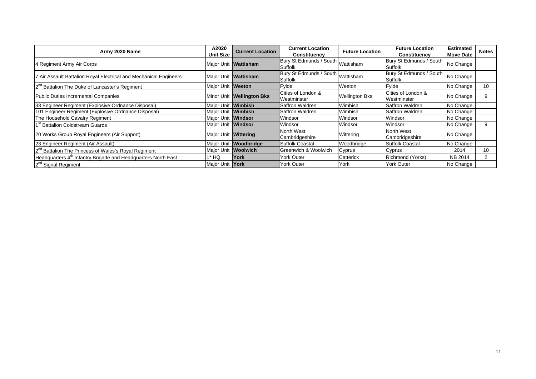| Army 2020 Name                                                            |                           | <b>Current Location</b>   | <b>Current Location</b>                      | <b>Future Location</b> | <b>Future Location</b>             | <b>Estimated</b> | <b>Notes</b> |
|---------------------------------------------------------------------------|---------------------------|---------------------------|----------------------------------------------|------------------------|------------------------------------|------------------|--------------|
|                                                                           | <b>Unit Size</b>          |                           | Constituency                                 |                        | Constituency                       | <b>Move Date</b> |              |
| 4 Regiment Army Air Corps                                                 |                           | Major Unit   Wattisham    | Bury St Edmunds / South Wattisham<br>Suffolk |                        | Bury St Edmunds / South<br>Suffolk | No Change        |              |
| 7 Air Assault Battalion Royal Electrical and Mechanical Engineers         |                           | Major Unit Wattisham      | Bury St Edmunds / South Wattisham<br>Suffolk |                        | Bury St Edmunds / South<br>Suffolk | No Change        |              |
| 2 <sup>nd</sup> Battalion The Duke of Lancaster's Regiment                | Major Unit Weeton         |                           | Fylde                                        | Weeton                 | Fylde                              | No Change        | 10           |
| Public Duties Incremental Companies                                       |                           | Minor Unit Wellington Bks | Cities of London &<br>Westminster            | <b>Wellington Bks</b>  | Cities of London &<br>Westminster  | No Change        | 9            |
| 33 Engineer Regiment (Explosive Ordnance Disposal)                        | Major Unit Wimbish        |                           | Saffron Waldren                              | Wimbish                | Saffron Waldren                    | No Change        |              |
| 101 Engineer Regiment (Explosive Ordnance Disposal)                       | Maior Unit <b>Wimbish</b> |                           | Saffron Waldren                              | Wimbish                | Saffron Waldren                    | No Change        |              |
| The Household Cavalry Regiment                                            | Major Unit Windsor        |                           | Windsor                                      | Windsor                | Windsor                            | No Change        |              |
| 1 <sup>st</sup> Battalion Coldstream Guards                               | Major Unit Windsor        |                           | Windsor                                      | Windsor                | Windsor                            | No Change        |              |
| 20 Works Group Royal Engineers (Air Support)                              | Major Unit Wittering      |                           | North West<br>Cambridgeshire                 | Wittering              | North West<br>Cambridgeshire       | No Change        |              |
| 23 Engineer Regiment (Air Assault)                                        |                           | Major Unit Woodbridge     | <b>Suffolk Coastal</b>                       | Woodbridge             | <b>Suffolk Coastal</b>             | No Change        |              |
| 2 <sup>nd</sup> Battalion The Princess of Wales's Royal Regiment          | Maior Unit Woolwich       |                           | Greenwich & Woolwich                         | Cyprus                 | Cyprus                             | 2014             | 10           |
| Headquarters 4 <sup>th</sup> Infantry Brigade and Headquarters North East | 1* HQ                     | York                      | York Outer                                   | Catterick              | Richmond (Yorks)                   | NB 2014          |              |
| 2 <sup>nd</sup> Signal Regiment                                           | Major Unit York           |                           | <b>York Outer</b>                            | York                   | <b>York Outer</b>                  | No Change        |              |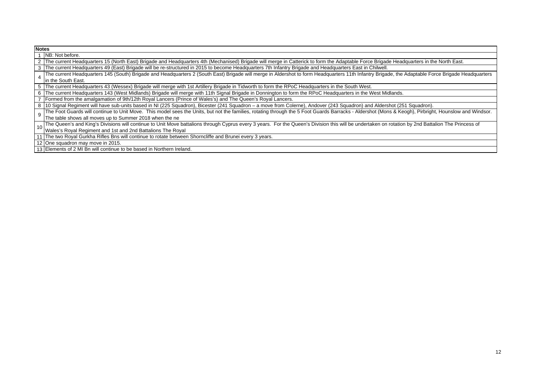| <b>Notes</b> |                                                                                                                                                                                                       |
|--------------|-------------------------------------------------------------------------------------------------------------------------------------------------------------------------------------------------------|
|              | NB: Not before.                                                                                                                                                                                       |
|              | 2 The current Headquarters 15 (North East) Brigade and Headquarters 4th (Mechanised) Brigade will merge in Catterick to form the Adaptable Force Brigade Headquarters in the North East.              |
|              | 3   The current Headquarters 49 (East) Brigade will be re-structured in 2015 to become Headquarters 7th Infantry Brigade and Headquarters East in Chilwell.                                           |
|              | The current Headquarters 145 (South) Brigade and Headquarters 2 (South East) Brigade will merge in Aldershot to form Headquarters 11th Infantry Brigade, the Adaptable Force Brigade Headquarters     |
|              | In the South East.                                                                                                                                                                                    |
|              | 5 The current Headquarters 43 (Wessex) Brigade will merge with 1st Artillery Brigade in Tidworth to form the RPoC Headquarters in the South West.                                                     |
|              | 6 The current Headquarters 143 (West Midlands) Brigade will merge with 11th Signal Brigade in Donnington to form the RPoC Headquarters in the West Midlands.                                          |
|              | Formed from the amalgamation of 9th/12th Royal Lancers (Prince of Wales's) and The Queen's Royal Lancers.                                                                                             |
|              | 8 10 Signal Regiment will have sub-units based in NI (225 Squadron), Bicester (241 Squadron - a move from Colerne), Andover (243 Squadron) and Aldershot (251 Squadron).                              |
| 9            | The Foot Guards will continue to Unit Move. This model sees the Units, but not the families, rotating through the 5 Foot Guards Barracks - Aldershot (Mons & Keogh), Pirbright, Hounslow and Windsor. |
|              | The table shows all moves up to Summer 2018 when the ne                                                                                                                                               |
|              | The Queen's and King's Divisions will continue to Unit Move battalions through Cyprus every 3 years. For the Queen's Division this will be undertaken on rotation by 2nd Battalion The Princess of    |
|              | 10 Wales's Royal Regiment and 1st and 2nd Battalions The Royal                                                                                                                                        |
|              | 11 The two Royal Gurkha Rifles Bns will continue to rotate between Shorncliffe and Brunei every 3 years.                                                                                              |
|              | 12 One squadron may move in 2015.                                                                                                                                                                     |

13 Elements of 2 MI Bn will continue to be based in Northern Ireland.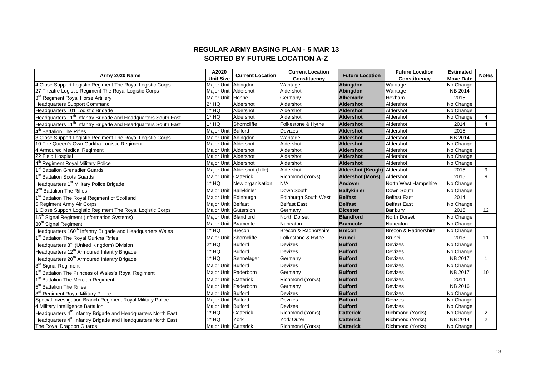## **REGULAR ARMY BASING PLAN - 5 MAR 13 SORTED BY FUTURE LOCATION A-Z**

| Army 2020 Name                                                             |                        | <b>Current Location</b>        | <b>Current Location</b>     | <b>Future Location</b>      | <b>Future Location</b>  | <b>Estimated</b> | <b>Notes</b>    |
|----------------------------------------------------------------------------|------------------------|--------------------------------|-----------------------------|-----------------------------|-------------------------|------------------|-----------------|
|                                                                            | <b>Unit Size</b>       |                                | Constituency                |                             | Constituency            | <b>Move Date</b> |                 |
| 4 Close Support Logistic Regiment The Royal Logistic Corps                 | <b>Maior Unit</b>      | Abinadon                       | Wantage                     | <b>Abingdon</b>             | Wantage                 | No Change        |                 |
| 27 Theatre Logistic Regiment The Royal Logistic Corps                      | Major Unit Aldershot   |                                | Aldershot                   | Abingdon                    | Wantage                 | NB 2014          |                 |
| $3^{\text{rd}}$<br><b>Regiment Royal Horse Artillery</b>                   | Major Unit Hohne       |                                | Germany                     | <b>Albemarle</b>            | Hexham                  | 2015             |                 |
| Headquarters Support Command                                               | $2*$ HQ                | Aldershot                      | Aldershot                   | <b>Aldershot</b>            | Aldershot               | No Change        |                 |
| Headquarters 101 Logistic Brigade                                          | $1*$ HQ                | Aldershot                      | Aldershot                   | Aldershot                   | Aldershot               | No Change        |                 |
| Headquarters 11 <sup>th</sup> Infantry Brigade and Headquarters South East | $1*$ HQ                | Aldershot                      | Aldershot                   | <b>Aldershot</b>            | Aldershot               | No Change        | 4               |
| Headquarters 11 <sup>th</sup> Infantry Brigade and Headquarters South East | $1*$ HQ                | Shorncliffe                    | Folkestone & Hythe          | <b>Aldershot</b>            | Aldershot               | 2014             | 4               |
| <b>Battalion The Rifles</b>                                                | Major Unit Bulford     |                                | <b>Devizes</b>              | <b>Aldershot</b>            | Aldershot               | 2015             |                 |
| 3 Close Support Logistic Regiment The Royal Logistic Corps                 | Major Unit Abingdon    |                                | Wantage                     | Aldershot                   | Aldershot               | NB 2014          |                 |
| 10 The Queen's Own Gurkha Logistic Regiment                                | Major Unit Aldershot   |                                | Aldershot                   | Aldershot                   | Aldershot               | No Change        |                 |
| 4 Armoured Medical Regiment                                                | Maior Unit Aldershot   |                                | Aldershot                   | <b>Aldershot</b>            | Aldershot               | No Change        |                 |
| 22 Field Hospital                                                          | Major Unit Aldershot   |                                | Aldershot                   | <b>Aldershot</b>            | Aldershot               | No Change        |                 |
| Regiment Royal Military Police                                             | Maior Unit Aldershot   |                                | Aldershot                   | <b>Aldershot</b>            | Aldershot               | No Change        |                 |
| <b>Battalion Grenadier Guards</b>                                          |                        | Major Unit   Aldershot (Lille) | Aldershot                   | Aldershot (Keogh) Aldershot |                         | 2015             | 9               |
| <b>Battalion Scots Guards</b>                                              | Major Unit Catterick   |                                | Richmond (Yorks)            | <b>Aldershot (Mons)</b>     | Aldershot               | 2015             | 9               |
| Headquarters 1 <sup>st</sup> Military Police Brigade                       | $1*HO$                 | New organisation               | N/A                         | Andover                     | North West Hampshire    | No Change        |                 |
| 2 <sup>nd</sup> Battalion The Rifles                                       | Major Unit Ballykinler |                                | Down South                  | <b>Ballykinler</b>          | Down South              | No Change        |                 |
| Battalion The Royal Regiment of Scotland                                   | Major Unit Edinburgh   |                                | <b>Edinburgh South West</b> | <b>Belfast</b>              | <b>Belfast East</b>     | 2014             |                 |
| 5 Regiment Army Air Corps                                                  | Maior Unit Belfast     |                                | <b>Belfast East</b>         | <b>Belfast</b>              | <b>Belfast East</b>     | No Change        |                 |
| Close Support Logistic Regiment The Royal Logistic Corps                   | Major Unit Gütersloh   |                                | Germany                     | <b>Bicester</b>             | Banbury                 | 2016             | 12              |
| 15 <sup>th</sup> Signal Regiment (Information Systems)                     | Major Unit Blandford   |                                | North Dorset                | <b>Blandford</b>            | <b>North Dorset</b>     | No Change        |                 |
| 30 <sup>th</sup> Signal Regiment                                           | Major Unit Bramcote    |                                | Nuneaton                    | <b>Bramcote</b>             | Nuneaton                | No Change        |                 |
| Headquarters 160 <sup>th</sup> Infantry Brigade and Headquarters Wales     | $1*$ HQ                | <b>Brecon</b>                  | Brecon & Radnorshire        | <b>Brecon</b>               | Brecon & Radnorshire    | No Change        |                 |
| 1 <sup>st</sup> Battalion The Roval Gurkha Rifles                          |                        | Major Unit Shorncliffe         | Folkestone & Hythe          | <b>Brunei</b>               | Brunei                  | 2013             | 11              |
| Headquarters 3 <sup>rd</sup> (United Kingdom) Division                     | $2*$ HQ                | <b>Bulford</b>                 | <b>Devizes</b>              | <b>Bulford</b>              | <b>Devizes</b>          | No Change        |                 |
| Headquarters 12 <sup>th</sup> Armoured Infantry Brigade                    | $1*$ HQ                | <b>Bulford</b>                 | <b>Devizes</b>              | <b>Bulford</b>              | <b>Devizes</b>          | No Change        |                 |
| Headquarters 20 <sup>th</sup> Armoured Infantry Brigade                    | $1*$ HQ                | Sennelager                     | Germany                     | <b>Bulford</b>              | <b>Devizes</b>          | NB 2017          |                 |
| 3 <sup>rd</sup> Signal Regiment                                            | Major Unit Bulford     |                                | Devizes                     | <b>Bulford</b>              | Devizes                 | No Change        |                 |
| Battalion The Princess of Wales's Royal Regiment                           | Maior Unit Paderborn   |                                | Germany                     | <b>Bulford</b>              | <b>Devizes</b>          | NB 2017          | 10 <sup>°</sup> |
| <b>Battalion The Mercian Regiment</b>                                      | Maior Unit Catterick   |                                | <b>Richmond (Yorks)</b>     | <b>Bulford</b>              | <b>Devizes</b>          | 2014             |                 |
| <b>Battalion The Rifles</b>                                                | Maior Unit Paderborn   |                                | Germany                     | <b>Bulford</b>              | <b>Devizes</b>          | NB 2016          |                 |
| $3^{\mathsf{rc}}$<br><b>Regiment Royal Military Police</b>                 | Maior Unit Bulford     |                                | Devizes                     | <b>Bulford</b>              | Devizes                 | No Change        |                 |
| Special Investigation Branch Regiment Royal Military Police                | Major Unit Bulford     |                                | Devizes                     | <b>Bulford</b>              | Devizes                 | No Change        |                 |
| 4 Military Intelligence Battalion                                          | Major Unit Bulford     |                                | <b>Devizes</b>              | <b>Bulford</b>              | <b>Devizes</b>          | No Change        |                 |
| Headquarters 4 <sup>th</sup> Infantry Brigade and Headquarters North East  | $1*$ HQ                | Catterick                      | Richmond (Yorks)            | <b>Catterick</b>            | <b>Richmond (Yorks)</b> | No Change        | $\overline{2}$  |
| Headquarters 4 <sup>th</sup> Infantry Brigade and Headquarters North East  | $1*$ HQ                | York                           | <b>York Outer</b>           | <b>Catterick</b>            | Richmond (Yorks)        | NB 2014          | 2               |
| The Royal Dragoon Guards                                                   | Major Unit Catterick   |                                | Richmond (Yorks)            | <b>Catterick</b>            | <b>Richmond (Yorks)</b> | No Change        |                 |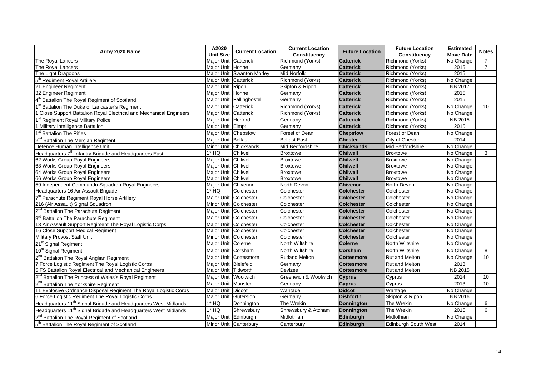| Army 2020 Name                                                              | A2020                  | <b>Current Location</b>   | <b>Current Location</b> | <b>Future Location</b> | <b>Future Location</b>      | <b>Estimated</b> | <b>Notes</b>   |
|-----------------------------------------------------------------------------|------------------------|---------------------------|-------------------------|------------------------|-----------------------------|------------------|----------------|
|                                                                             | <b>Unit Size</b>       |                           | <b>Constituency</b>     |                        | Constituency                | <b>Move Date</b> |                |
| The Royal Lancers                                                           | Major Unit             | Catterick                 | Richmond (Yorks)        | <b>Catterick</b>       | Richmond (Yorks)            | No Change        | 7              |
| The Royal Lancers                                                           | Major Unit Hohne       |                           | Germany                 | <b>Catterick</b>       | Richmond (Yorks)            | 2015             | $\overline{7}$ |
| The Light Dragoons                                                          |                        | Major Unit Swanton Morley | <b>Mid Norfolk</b>      | <b>Catterick</b>       | Richmond (Yorks)            | 2015             |                |
| 5 <sup>th</sup> Regiment Royal Artillery                                    | Major Unit Catterick   |                           | Richmond (Yorks)        | <b>Catterick</b>       | Richmond (Yorks)            | No Change        |                |
| 21 Engineer Regiment                                                        | Major Unit Ripon       |                           | Skipton & Ripon         | <b>Catterick</b>       | Richmond (Yorks)            | NB 2017          |                |
| 32 Engineer Regiment                                                        | Major Unit Hohne       |                           | Germany                 | <b>Catterick</b>       | Richmond (Yorks)            | 2015             |                |
| 4 <sup>th</sup> Battalion The Royal Regiment of Scotland                    |                        | Major Unit Fallingbostel  | Germany                 | <b>Catterick</b>       | Richmond (Yorks)            | 2015             |                |
| 1 <sup>st</sup> Battalion The Duke of Lancaster's Regiment                  | Major Unit Catterick   |                           | Richmond (Yorks)        | <b>Catterick</b>       | Richmond (Yorks)            | No Change        | 10             |
| 1 Close Support Battalion Royal Electrical and Mechanical Engineers         | Maior Unit   Catterick |                           | Richmond (Yorks)        | <b>Catterick</b>       | Richmond (Yorks)            | No Change        |                |
| 1 <sup>st</sup> Regiment Royal Military Police                              | Major Unit Herford     |                           | Germany                 | <b>Catterick</b>       | Richmond (Yorks)            | NB 2015          |                |
| 1 Military Intelligence Battalion                                           | Major Unit Elmpt       |                           | Germany                 | <b>Catterick</b>       | Richmond (Yorks)            | 2015             |                |
| 1 <sup>st</sup> Battalion The Rifles                                        | Major Unit Chepstow    |                           | Forest of Dean          | <b>Chepstow</b>        | Forest of Dean              | No Change        |                |
| 2 <sup>nd</sup> Battalion The Mercian Regiment                              | Major Unit Belfast     |                           | <b>Belfast East</b>     | <b>Chester</b>         | City of Chester             | 2014             |                |
| Defence Human Intelligence Unit                                             |                        | Minor Unit Chicksands     | Mid Bedfordshire        | <b>Chicksands</b>      | Mid Bedfordshire            | No Change        |                |
| Headquarters 7 <sup>th</sup> Infantry Brigade and Headquarters East         | $1*$ HQ                | Chilwell                  | <b>Broxtowe</b>         | <b>Chilwell</b>        | <b>Broxtowe</b>             | No Change        | 3              |
| 62 Works Group Royal Engineers                                              | Major Unit Chilwell    |                           | <b>Broxtowe</b>         | <b>Chilwell</b>        | <b>Broxtowe</b>             | No Change        |                |
| 63 Works Group Royal Engineers                                              | Major Unit Chilwell    |                           | <b>Broxtowe</b>         | <b>Chilwell</b>        | <b>Broxtowe</b>             | No Change        |                |
| 64 Works Group Royal Engineers                                              | Major Unit Chilwell    |                           | <b>Broxtowe</b>         | <b>Chilwell</b>        | <b>Broxtowe</b>             | No Change        |                |
| 66 Works Group Royal Engineers                                              | Major Unit Chilwell    |                           | <b>Broxtowe</b>         | <b>Chilwell</b>        | <b>Broxtowe</b>             | No Change        |                |
| 59 Independent Commando Squadron Royal Engineers                            | Major Unit Chivenor    |                           | North Devon             | <b>Chivenor</b>        | North Devon                 | No Change        |                |
| Headquarters 16 Air Assault Brigade                                         | $1*HO$                 | Colchester                | Colchester              | <b>Colchester</b>      | Colchester                  | No Change        |                |
| 7 <sup>th</sup> Parachute Regiment Royal Horse Artillery                    | Major Unit Colchester  |                           | Colchester              | <b>Colchester</b>      | Colchester                  | No Change        |                |
| 216 (Air Assault) Signal Squadron                                           | Minor Unit Colchester  |                           | Colchester              | <b>Colchester</b>      | Colchester                  | No Change        |                |
| 2 <sup>nd</sup> Battalion The Parachute Regiment                            | Major Unit Colchester  |                           | Colchester              | <b>Colchester</b>      | Colchester                  | No Change        |                |
| 3rd Battalion The Parachute Regiment                                        | Major Unit Colchester  |                           | Colchester              | <b>Colchester</b>      | Colchester                  | No Change        |                |
| 13 Air Assault Support Regiment The Royal Logistic Corps                    | Major Unit Colchester  |                           | Colchester              | <b>Colchester</b>      | Colchester                  | No Change        |                |
| 16 Close Support Medical Regiment                                           |                        | Major Unit Colchester     | Colchester              | <b>Colchester</b>      | Colchester                  | No Change        |                |
| Military Provost Staff Unit                                                 | Minor Unit Colchester  |                           | Colchester              | <b>Colchester</b>      | Colchester                  | No Change        |                |
| 21 <sup>st</sup> Signal Regiment                                            | Major Unit Colerne     |                           | North Wiltshire         | <b>Colerne</b>         | North Wiltshire             | No Change        |                |
| 10 <sup>th</sup> Signal Regiment                                            | Major Unit Corsham     |                           | North Wiltshire         | <b>Corsham</b>         | <b>North Wiltshire</b>      | No Change        | 8              |
| 2 <sup>nd</sup> Battalion The Royal Anglian Regiment                        |                        | Maior Unit Cottesmore     | <b>Rutland Melton</b>   | <b>Cottesmore</b>      | <b>Rutland Melton</b>       | No Change        | 10             |
| 7 Force Logistic Regiment The Royal Logistic Corps                          | Major Unit Bielefeld   |                           | Germany                 | <b>Cottesmore</b>      | <b>Rutland Melton</b>       | 2013             |                |
| 5 FS Battalion Royal Electrical and Mechanical Engineers                    | Major Unit Tidworth    |                           | Devizes                 | <b>Cottesmore</b>      | <b>Rutland Melton</b>       | NB 2015          |                |
| 2 <sup>nd</sup> Battalion The Princess of Wales's Royal Regiment            | Major Unit Woolwich    |                           | Greenwich & Woolwich    | <b>Cyprus</b>          | Cyprus                      | 2014             | 10             |
| 2 <sup>nd</sup> Battalion The Yorkshire Regiment                            | Major Unit Munster     |                           | Germany                 | <b>Cyprus</b>          | Cyprus                      | 2013             | 10             |
| 11 Explosive Ordnance Disposal Regiment The Royal Logistic Corps            | Major Unit Didcot      |                           | Wantage                 | <b>Didcot</b>          | Wantage                     | No Change        |                |
| 6 Force Logistic Regiment The Royal Logistic Corps                          | Major Unit Gütersloh   |                           | Germany                 | <b>Dishforth</b>       | Skipton & Ripon             | NB 2016          |                |
| Headquarters 11 <sup>th</sup> Signal Brigade and Headquarters West Midlands | $1*$ HQ                | Donnington                | The Wrekin              | <b>Donnington</b>      | The Wrekin                  | No Change        | 6              |
| Headquarters 11 <sup>th</sup> Signal Brigade and Headquarters West Midlands | $1*$ HQ                | Shrewsburv                | Shrewsbury & Atcham     | <b>Donnington</b>      | The Wrekin                  | 2015             | 6              |
| 2 <sup>nd</sup> Battalion The Royal Regiment of Scotland                    | Major Unit   Edinburgh |                           | Midlothian              | Edinburgh              | Midlothian                  | No Change        |                |
| 5 <sup>th</sup> Battalion The Royal Regiment of Scotland                    |                        | Minor Unit Canterbury     | Canterbury              | Edinburgh              | <b>Edinburgh South West</b> | 2014             |                |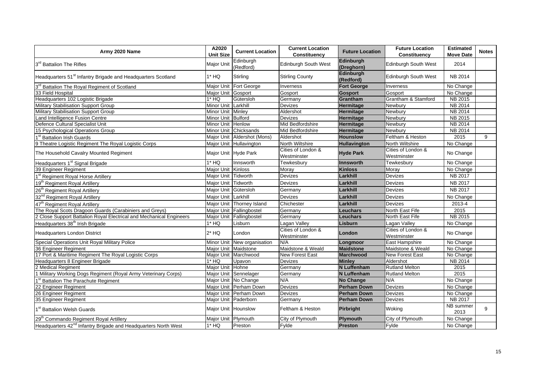| Army 2020 Name                                                             | A2020<br><b>Unit Size</b> | <b>Current Location</b>     | <b>Current Location</b><br><b>Constituency</b> | <b>Future Location</b>        | <b>Future Location</b><br>Constituency | <b>Estimated</b><br><b>Move Date</b> | <b>Notes</b> |
|----------------------------------------------------------------------------|---------------------------|-----------------------------|------------------------------------------------|-------------------------------|----------------------------------------|--------------------------------------|--------------|
| 3rd Battalion The Rifles                                                   | Major Unit                | Edinburgh<br>(Redford)      | <b>Edinburgh South West</b>                    | Edinburgh<br>(Dreghorn)       | Edinburgh South West                   | 2014                                 |              |
| Headquarters 51 <sup>st</sup> Infantry Brigade and Headquarters Scotland   | 1* HQ                     | Stirling                    | <b>Stirling County</b>                         | <b>Edinburgh</b><br>(Redford) | Edinburgh South West                   | <b>NB 2014</b>                       |              |
| 3 <sup>rd</sup> Battalion The Royal Regiment of Scotland                   |                           | Major Unit Fort George      | Inverness                                      | <b>Fort George</b>            | Inverness                              | No Change                            |              |
| 33 Field Hospital                                                          | Major Unit Gosport        |                             | Gosport                                        | <b>Gosport</b>                | Gosport                                | No Change                            |              |
| Headquarters 102 Logistic Brigade                                          | $1*$ HQ                   | Gütersloh                   | Germany                                        | Grantham                      | Grantham & Stamford                    | NB 2015                              |              |
| Military Stabilisation Support Group                                       | Minor Unit Larkhill       |                             | Devizes                                        | <b>Hermitage</b>              | Newbury                                | NB 2014                              |              |
| <b>Military Stabilisation Support Group</b>                                | Minor Unit Minley         |                             | Aldershot                                      | Hermitage                     | Newbury                                | NB 2014                              |              |
| and Intelligence Fusion Centre                                             | Minor Unit Bulford        |                             | <b>Devizes</b>                                 | Hermitage                     | Newbury                                | <b>NB 2015</b>                       |              |
| Defence Cultural Specialist Unit                                           | Minor Unit Henlow         |                             | Mid Bedfordshire                               | Hermitage                     | Newbury                                | NB 2014                              |              |
| 15 Psychological Operations Group                                          |                           | Minor Unit Chicksands       | Mid Bedfordshire                               | Hermitage                     | Newbury                                | <b>NB 2014</b>                       |              |
| 1 <sup>st</sup> Battalion Irish Guards                                     |                           | Major Unit Aldershot (Mons) | Aldershot                                      | <b>Hounslow</b>               | Feltham & Heston                       | 2015                                 | 9            |
| 9 Theatre Logistic Regiment The Royal Logistic Corps                       |                           | Major Unit Hullavington     | North Wiltshire                                | <b>Hullavington</b>           | North Wiltshire                        | No Change                            |              |
| The Household Cavalry Mounted Regiment                                     |                           | Major Unit Hyde Park        | Cities of London &<br>Westminster              | <b>Hyde Park</b>              | Cities of London &<br>Westminster      | No Change                            |              |
| Headquarters 1 <sup>st</sup> Signal Brigade                                | $1*$ HQ                   | Innsworth                   | Tewkesbury                                     | Innsworth                     | Tewkesbury                             | No Change                            |              |
| 39 Engineer Regiment                                                       | Major Unit Kinloss        |                             | Moray                                          | <b>Kinloss</b>                | Moray                                  | No Change                            |              |
| 1 <sup>st</sup> Regiment Royal Horse Artillery                             | Major Unit Tidworth       |                             | <b>Devizes</b>                                 | Larkhill                      | Devizes                                | NB 2017                              |              |
| 19 <sup>th</sup> Regiment Royal Artillery                                  | Major Unit Tidworth       |                             | <b>Devizes</b>                                 | Larkhill                      | Devizes                                | NB 2017                              |              |
| 26 <sup>th</sup> Regiment Royal Artillery                                  | Major Unit Gütersloh      |                             | Germany                                        | Larkhill                      | Devizes                                | NB 2017                              |              |
| 32 <sup>nd</sup> Regiment Royal Artillery                                  | Major Unit Larkhill       |                             | <b>Devizes</b>                                 | Larkhill                      | Devizes                                | No Change                            |              |
| 47 <sup>th</sup> Regiment Royal Artillery                                  |                           | Major Unit Thorney Island   | Chichester                                     | Larkhill                      | <b>Devizes</b>                         | 2013-4                               |              |
| The Royal Scots Dragoon Guards (Carabiniers and Greys)                     |                           | Major Unit Fallingbostel    | Germany                                        | Leuchars                      | North East Fife                        | 2015                                 |              |
| 2 Close Support Battalion Royal Electrical and Mechanical Engineers        |                           | Major Unit Fallingbostel    | Germany                                        | Leuchars                      | North East Fife                        | NB 2015                              |              |
| Headquarters 38 <sup>th</sup> Irish Brigade                                | $1*$ HQ                   | Lisburn                     | Lagan Valley                                   | Lisburn                       | Lagan Valley                           | No Change                            |              |
| <b>Headquarters London District</b>                                        | $2*$ HQ                   | London                      | Cities of London &<br>Westminster              | <b>London</b>                 | Cities of London &<br>Westminster      | No Change                            |              |
| Special Operations Unit Royal Military Police                              |                           | Minor Unit New organisation | N/A                                            | Longmoor                      | East Hampshire                         | No Change                            |              |
| 36 Engineer Regiment                                                       |                           | Major Unit Maidstone        | Maidstone & Weald                              | <b>Maidstone</b>              | Maidstone & Weald                      | No Change                            |              |
| 17 Port & Maritime Regiment The Royal Logistic Corps                       |                           | Major Unit Marchwood        | <b>New Forest East</b>                         | <b>Marchwood</b>              | New Forest East                        | No Change                            |              |
| Headquarters 8 Engineer Brigade                                            | $1*$ HQ                   | Upavon                      | Devizes                                        | <b>Minley</b>                 | Aldershot                              | NB 2014                              |              |
| 2 Medical Regiment                                                         | Maior Unit Hohne          |                             | Germany                                        | <b>N</b> Luffenham            | <b>Rutland Melton</b>                  | 2015                                 |              |
| 1 Military Working Dogs Regiment (Royal Army Veterinary Corps)             |                           | Major Unit Sennelager       | Germany                                        | <b>N</b> Luffenham            | <b>Rutland Melton</b>                  | 2015                                 |              |
| 1 <sup>st</sup> Battalion The Parachute Regiment                           |                           | Major Unit No Change        | N/A                                            | <b>No Change</b>              | N/A                                    | No Change                            |              |
| 22 Engineer Regiment                                                       |                           | Maior Unit Perham Down      | <b>Devizes</b>                                 | <b>Perham Down</b>            | Devizes                                | No Change                            |              |
| 26 Engineer Regiment                                                       |                           | Major Unit Perham Down      | <b>Devizes</b>                                 | <b>Perham Down</b>            | Devizes                                | No Change                            |              |
| 35 Engineer Regiment                                                       |                           | Major Unit Paderborn        | Germany                                        | <b>Perham Down</b>            | Devizes                                | NB 2017                              |              |
| 1 <sup>st</sup> Battalion Welsh Guards                                     | Major Unit Hounslow       |                             | Feltham & Heston                               | <b>Pirbright</b>              | Woking                                 | NB summer<br>2013                    | 9            |
| 29 <sup>th</sup> Commando Regiment Royal Artillery                         | Major Unit Plymouth       |                             | City of Plymouth                               | Plymouth                      | City of Plymouth                       | No Change                            |              |
| Headquarters 42 <sup>nd</sup> Infantry Brigade and Headquarters North West | $1*$ HQ                   | Preston                     | Fylde                                          | <b>Preston</b>                | Fylde                                  | No Change                            |              |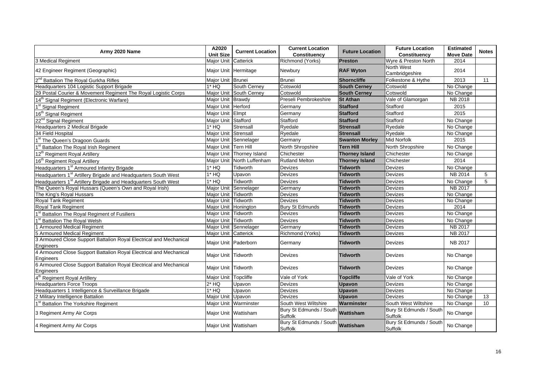| Army 2020 Name                                                                  | A2020                | <b>Current Location</b>    | <b>Current Location</b>                      | <b>Future Location</b> | <b>Future Location</b>             | <b>Estimated</b> | <b>Notes</b> |
|---------------------------------------------------------------------------------|----------------------|----------------------------|----------------------------------------------|------------------------|------------------------------------|------------------|--------------|
|                                                                                 | <b>Unit Size</b>     |                            | Constituency                                 |                        | <b>Constituency</b>                | <b>Move Date</b> |              |
| 3 Medical Regiment                                                              | Major Unit Catterick |                            | Richmond (Yorks)                             | <b>Preston</b>         | Wyre & Preston North               | 2014             |              |
| 42 Engineer Regiment (Geographic)                                               | Major Unit Hermitage |                            | Newbury                                      | <b>RAF Wyton</b>       | North West<br>Cambridgeshire       | 2014             |              |
| 2 <sup>nd</sup> Battalion The Royal Gurkha Rifles                               | Major Unit Brunei    |                            | <b>Brunei</b>                                | Shorncliffe            | Folkestone & Hythe                 | 2013             | 11           |
| Headquarters 104 Logistic Support Brigade                                       | $1*$ HQ              | South Cerney               | Cotswold                                     | <b>South Cerney</b>    | Cotswold                           | No Change        |              |
| 29 Postal Courier & Movement Regiment The Royal Logistic Corps                  |                      | Major Unit South Cerney    | Cotswold                                     | <b>South Cerney</b>    | Cotswold                           | No Change        |              |
| 14 <sup>th</sup> Signal Regiment (Electronic Warfare)                           | Major Unit Brawdy    |                            | Preseli Pembrokeshire                        | <b>St Athan</b>        | Vale of Glamorgan                  | <b>NB 2018</b>   |              |
| 1 <sup>st</sup> Signal Regiment                                                 | Major Unit Herford   |                            | Germany                                      | <b>Stafford</b>        | Stafford                           | 2015             |              |
| 16 <sup>th</sup> Signal Regiment                                                | Major Unit Elmpt     |                            | Germany                                      | <b>Stafford</b>        | Stafford                           | 2015             |              |
| 22 <sup>nd</sup> Signal Regiment                                                | Major Unit Stafford  |                            | Stafford                                     | <b>Stafford</b>        | Stafford                           | No Change        |              |
| Headquarters 2 Medical Brigade                                                  | $1*$ HQ              | Strensall                  | Ryedale                                      | <b>Strensall</b>       | Ryedale                            | No Change        |              |
| 34 Field Hospital                                                               | Major Unit Strensall |                            | Ryedale                                      | <b>Strensall</b>       | Ryedale                            | No Change        |              |
| 1 <sup>st</sup> The Queen's Dragoon Guards                                      |                      | Major Unit Sennelager      | Germany                                      | <b>Swanton Morley</b>  | <b>Mid Norfolk</b>                 | 2015             |              |
| 1 <sup>st</sup> Battalion The Royal Irish Regiment                              | Major Unit Tern Hill |                            | North Shropshire                             | <b>Tern Hill</b>       | North Shropshire                   | No Change        |              |
| 12 <sup>th</sup> Regiment Royal Artillery                                       | Maior Unit           | Thorney Island             | Chichester                                   | <b>Thorney Island</b>  | Chichester                         | No Change        |              |
| 16 <sup>th</sup> Regiment Royal Artillery                                       |                      | Major Unit North Luffenham | <b>Rutland Melton</b>                        | <b>Thorney Island</b>  | Chichester                         | 2014             |              |
| Headquarters 1 <sup>st</sup> Armoured Infantry Brigade                          | $1*$ HQ              | Tidworth                   | Devizes                                      | <b>Tidworth</b>        | Devizes                            | No Change        |              |
| Headquarters 1 <sup>st</sup> Artillery Brigade and Headquarters South West      | $1*$ HQ              | Upavon                     | Devizes                                      | <b>Tidworth</b>        | Devizes                            | NB 2014          | 5            |
| Headquarters 1 <sup>st</sup> Artillery Brigade and Headquarters South West      | $1*$ HQ              | <b>Tidworth</b>            | <b>Devizes</b>                               | <b>Tidworth</b>        | Devizes                            | No Change        | 5            |
| The Queen's Royal Hussars (Queen's Own and Royal Irish)                         |                      | Major Unit Sennelager      | Germany                                      | <b>Tidworth</b>        | Devizes                            | NB 2017          |              |
| The King's Royal Hussars                                                        | Major Unit           | Tidworth                   | <b>Devizes</b>                               | <b>Tidworth</b>        | Devizes                            | No Change        |              |
| <b>Royal Tank Regiment</b>                                                      | Major Unit Tidworth  |                            | <b>Devizes</b>                               | <b>Tidworth</b>        | Devizes                            | No Change        |              |
| Royal Tank Regiment                                                             | Major Unit Honington |                            | <b>Bury St Edmunds</b>                       | <b>Tidworth</b>        | Devizes                            | 2014             |              |
| 1 <sup>st</sup> Battalion The Royal Regiment of Fusiliers                       | Major Unit Tidworth  |                            | Devizes                                      | <b>Tidworth</b>        | Devizes                            | No Change        |              |
| 1 <sup>st</sup> Battalion The Royal Welsh                                       | Major Unit Tidworth  |                            | <b>Devizes</b>                               | <b>Tidworth</b>        | Devizes                            | No Change        |              |
| 1 Armoured Medical Regiment                                                     |                      | Major Unit Sennelager      | Germany                                      | <b>Tidworth</b>        | Devizes                            | <b>NB 2017</b>   |              |
| 5 Armoured Medical Regiment                                                     | Major Unit Catterick |                            | Richmond (Yorks)                             | <b>Tidworth</b>        | Devizes                            | NB 2017          |              |
| 3 Armoured Close Support Battalion Royal Electrical and Mechanical<br>Engineers | Major Unit Paderborn |                            | Germany                                      | <b>Tidworth</b>        | Devizes                            | NB 2017          |              |
| 4 Armoured Close Support Battalion Royal Electrical and Mechanical<br>Engineers | Major Unit Tidworth  |                            | Devizes                                      | <b>Tidworth</b>        | Devizes                            | No Change        |              |
| 6 Armoured Close Support Battalion Royal Electrical and Mechanical<br>Engineers | Major Unit Tidworth  |                            | Devizes                                      | <b>Tidworth</b>        | Devizes                            | No Change        |              |
| 4 <sup>th</sup> Regiment Royal Artillery                                        | Major Unit Topcliffe |                            | Vale of York                                 | <b>Topcliffe</b>       | Vale of York                       | No Change        |              |
| <b>Headquarters Force Troops</b>                                                | $2*$ HQ              | Upavon                     | Devizes                                      | <b>Upavon</b>          | Devizes                            | No Change        |              |
| Headquarters 1 Intelligence & Surveillance Brigade                              | 1* HQ                | Upavon                     | Devizes                                      | <b>Upavon</b>          | Devizes                            | No Change        |              |
| 2 Military Intelligence Battalion                                               | Major Unit Upavon    |                            | Devizes                                      | <b>Upavon</b>          | Devizes                            | No Change        | 13           |
| 1 <sup>st</sup> Battalion The Yorkshire Regiment                                |                      | Major Unit Warminster      | South West Wiltshire                         | Warminster             | South West Wiltshire               | No Change        | 10           |
| 3 Regiment Army Air Corps                                                       |                      | Major Unit Wattisham       | Bury St Edmunds / South<br>Suffolk           | Wattisham              | Bury St Edmunds / South<br>Suffolk | No Change        |              |
| 4 Regiment Army Air Corps                                                       |                      | Major Unit Wattisham       | Bury St Edmunds / South Wattisham<br>Suffolk |                        | Bury St Edmunds / South<br>Suffolk | No Change        |              |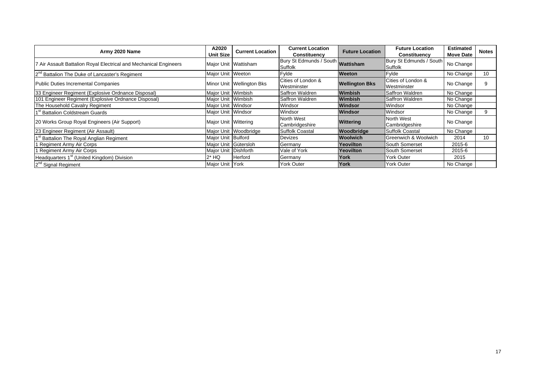| Army 2020 Name                                                    | A2020<br><b>Unit Size</b> | <b>Current Location</b>     | <b>Current Location</b><br>Constituency      | <b>Future Location</b> | <b>Future Location</b><br><b>Constituency</b> | <b>Estimated</b><br><b>Move Date</b> | <b>Notes</b>    |
|-------------------------------------------------------------------|---------------------------|-----------------------------|----------------------------------------------|------------------------|-----------------------------------------------|--------------------------------------|-----------------|
| 7 Air Assault Battalion Royal Electrical and Mechanical Engineers |                           | Major Unit   Wattisham      | Bury St Edmunds / South Wattisham<br>Suffolk |                        | Bury St Edmunds / South<br>Suffolk            | No Change                            |                 |
| 2 <sup>nd</sup> Battalion The Duke of Lancaster's Regiment        | Major Unit Weeton         |                             | Fylde                                        | <b>Weeton</b>          | Fylde                                         | No Change                            | 10              |
| Public Duties Incremental Companies                               |                           | Minor Unit   Wellington Bks | Cities of London &<br>Westminster            | <b>Wellington Bks</b>  | Cities of London &<br>Westminster             | No Change                            |                 |
| 33 Engineer Regiment (Explosive Ordnance Disposal)                | Major Unit Wimbish        |                             | Saffron Waldren                              | Wimbish                | Saffron Waldren                               | No Change                            |                 |
| 101 Engineer Regiment (Explosive Ordnance Disposal)               | Major Unit Wimbish        |                             | Saffron Waldren                              | Wimbish                | Saffron Waldren                               | No Change                            |                 |
| The Household Cavalry Regiment                                    | Major Unit Windsor        |                             | Windsor                                      | Windsor                | Windsor                                       | No Change                            |                 |
| 1 <sup>st</sup> Battalion Coldstream Guards                       | Major Unit Windsor        |                             | Windsor                                      | Windsor                | Windsor                                       | No Change                            | 9               |
| 20 Works Group Royal Engineers (Air Support)                      | Major Unit Wittering      |                             | North West<br>Cambridgeshire                 | Wittering              | North West<br>Cambridgeshire                  | No Change                            |                 |
| 23 Engineer Regiment (Air Assault)                                |                           | Major Unit Woodbridge       | <b>Suffolk Coastal</b>                       | Woodbridge             | <b>Suffolk Coastal</b>                        | No Change                            |                 |
| 1 <sup>st</sup> Battalion The Royal Anglian Regiment              | Major Unit Bulford        |                             | Devizes                                      | <b>Woolwich</b>        | Greenwich & Woolwich                          | 2014                                 | 10 <sup>°</sup> |
| I Regiment Army Air Corps                                         | Major Unit Gütersloh      |                             | Germany                                      | Yeovilton              | South Somerset                                | 2015-6                               |                 |
| 1 Regiment Army Air Corps                                         | Major Unit   Dishforth    |                             | Vale of York                                 | Yeovilton              | South Somerset                                | 2015-6                               |                 |
| Headquarters 1 <sup>st</sup> (United Kingdom) Division            | 2* HQ                     | <b>Herford</b>              | Germany                                      | York                   | <b>York Outer</b>                             | 2015                                 |                 |
| 2 <sup>nd</sup> Signal Regiment                                   | Major Unit York           |                             | <b>York Outer</b>                            | York                   | <b>York Outer</b>                             | No Change                            |                 |